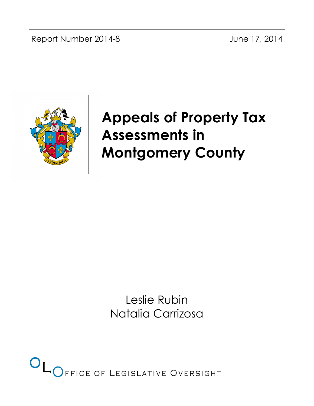Report Number 2014-8 June 17, 2014



# Appeals of Property Tax Assessments in Montgomery County

Leslie Rubin Natalia Carrizosa

FFICE OF LEGISLATIVE OVERSIGHT  $O<sub>LO</sub>$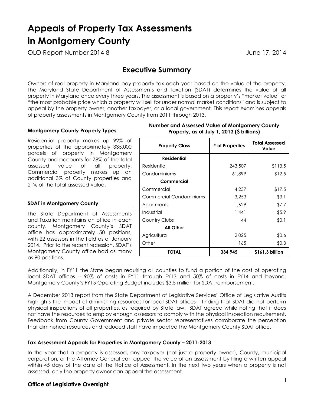# Appeals of Property Tax Assessments in Montgomery County

OLO Report Number 2014-8 and the state of the state of the US of the US of the US of the US of the US of the U

# Executive Summary

Owners of real property in Maryland pay property tax each year based on the value of the property. The Maryland State Department of Assessments and Taxation (SDAT) determines the value of all property in Maryland once every three years. The assessment is based on a property's "market value" or "the most probable price which a property will sell for under normal market conditions" and is subject to appeal by the property owner, another taxpayer, or a local government. This report examines appeals of property assessments in Montgomery County from 2011 through 2013.

#### Montgomery County Property Types

Residential property makes up 92% of properties of the approximately 335,000 parcels of property in Montgomery County and accounts for 78% of the total assessed value of all property. Commercial property makes up an additional 3% of County properties and 21% of the total assessed value.

#### SDAT in Montgomery County

The State Department of Assessments and Taxation maintains an office in each county. Montgomery County's SDAT office has approximately 50 positions, with 22 assessors in the field as of January 2014. Prior to the recent recession, SDAT's Montgomery County office had as many as 90 positions.

| <b>Property Class</b>          | # of Properties | <b>Total Assessed</b><br>Value |
|--------------------------------|-----------------|--------------------------------|
| <b>Residential</b>             |                 |                                |
| Residential                    | 243,507         | \$113.5                        |
| Condominiums                   | 61,899          | \$12.5                         |
| Commercial                     |                 |                                |
| Commercial                     | 4,237           | \$17.5                         |
| <b>Commercial Condominiums</b> | 3,253           | \$3.1                          |
| Apartments                     | 1,629           | \$7.7                          |
| Industrial                     | 1,441           | \$5.9                          |
| Country Clubs                  | 44              | \$0.1                          |
| All Other                      |                 |                                |
| Agricultural                   | 2.025           | \$0.6                          |
| Other                          | 165             | \$0.3                          |
| <b>TOTAL</b>                   | 334,945         | \$161.3 billion                |

#### Number and Assessed Value of Montgomery County Property, as of July 1, 2013 (\$ billions)

Additionally, in FY11 the State began requiring all counties to fund a portion of the cost of operating local SDAT offices – 90% of costs in FY11 through FY13 and 50% of costs in FY14 and beyond. Montgomery County's FY15 Operating Budget includes \$3.5 million for SDAT reimbursement.

A December 2013 report from the State Department of Legislative Services' Office of Legislative Audits highlights the impact of diminishing resources for local SDAT offices – finding that SDAT did not perform physical inspections of all properties, as required by State law. SDAT agreed while noting that it does not have the resources to employ enough assessors to comply with the physical inspection requirement. Feedback from County Government and private sector representatives corroborate the perception that diminished resources and reduced staff have impacted the Montgomery County SDAT office.

#### Tax Assessment Appeals for Properties in Montgomery County – 2011-2013

In the year that a property is assessed, any taxpayer (not just a property owner), County, municipal corporation, or the Attorney General can appeal the value of an assessment by filing a written appeal within 45 days of the date of the Notice of Assessment. In the next two years when a property is not assessed, only the property owner can appeal the assessment.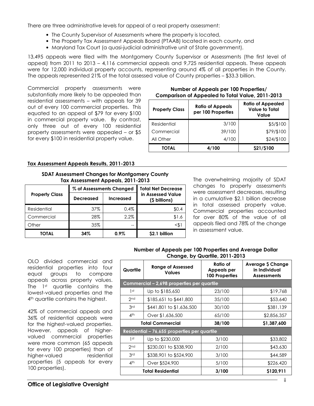There are three administrative levels for appeal of a real property assessment:

- The County Supervisor of Assessments where the property is located,
- The Property Tax Assessment Appeals Board (PTAAB) located in each county, and
- Maryland Tax Court (a quasi-judicial administrative unit of State government).

13,495 appeals were filed with the Montgomery County Supervisor or Assessments (the first level of appeal) from 2011 to 2013 – 4,116 commercial appeals and 9,725 residential appeals. These appeals were for 12,000 individual property accounts, representing around 4% of all properties in the County. The appeals represented 21% of the total assessed value of County properties – \$33.3 billion.

Commercial property assessments were substantially more likely to be appealed than residential assessments – with appeals for 39 out of every 100 commercial properties. This equated to an appeal of \$79 for every \$100 in commercial property value. By contrast, only three out of every 100 residential property assessments were appealed – or \$5 for every \$100 in residential property value.

#### Number of Appeals per 100 Properties/ Comparison of Appealed to Total Value, 2011-2013

| <b>Property Class</b> | <b>Ratio of Appeals</b><br>per 100 Properties | <b>Ratio of Appealed</b><br><b>Value to Total</b><br>Value |
|-----------------------|-----------------------------------------------|------------------------------------------------------------|
| Residential           | 3/100                                         | \$5/\$100                                                  |
| Commercial            | 39/100                                        | \$79/\$100                                                 |
| All Other             | 4/100                                         | \$24/\$100                                                 |
| <b>TOTAL</b>          | 4/100                                         | \$21/\$100                                                 |

#### Tax Assessment Appeals Results, 2011-2013

#### SDAT Assessment Changes for Montgomery County Tax Assessment Appeals, 2011-2013

|                       | % of Assessments Changed |                  | <b>Total Net Decrease</b>          |  |
|-----------------------|--------------------------|------------------|------------------------------------|--|
| <b>Property Class</b> | <b>Decreased</b>         | <b>Increased</b> | in Assessed Value<br>(\$ billions) |  |
| Residential           | 37%                      | 0.4%             | \$0.4                              |  |
| Commercial            | 28%                      | 2.2%             | \$1.6                              |  |
| Other                 | 35%                      |                  | <\$1                               |  |
| <b>TOTAL</b>          | 34%                      | $0.9\%$          | \$2.1 billion                      |  |

The overwhelming majority of SDAT changes to property assessments were assessment decreases, resulting in a cumulative \$2.1 billion decrease in total assessed property value. Commercial properties accounted for over 80% of the value of all appeals filed and 78% of the change in assessment value.

#### Number of Appeals per 100 Properties and Average Dollar Change, by Quartile, 2011-2013

OLO divided commercial and residential properties into four equal groups to compare appeals across property values. The 1st quartile contains the lowest-valued properties and the 4<sup>th</sup> quartile contains the highest.

42% of commercial appeals and 36% of residential appeals were for the highest-valued properties. However, appeals of highervalued commercial properties were more common (65 appeals for every 100 properties) than of higher-valued residential properties (5 appeals for every 100 properties).

| <b>Range of Assessed</b><br>Quartile<br><b>Values</b> |                                              | Ratio of<br>Appeals per<br><b>100 Properties</b> | <b>Average \$ Change</b><br>in Individual<br><b>Assessments</b> |
|-------------------------------------------------------|----------------------------------------------|--------------------------------------------------|-----------------------------------------------------------------|
|                                                       | Commercial - 2,698 properties per quartile   |                                                  |                                                                 |
| 1st                                                   | Up to \$185,650                              | 23/100                                           | \$19,768                                                        |
| 2 <sub>nd</sub>                                       | \$185,651 to \$441,800                       | 35/100                                           | \$53,640                                                        |
| 3rd                                                   | \$441,801 to \$1,636,500                     | 30/100                                           | \$381,139                                                       |
| 4 <sup>th</sup>                                       | Over \$1,636,500                             | 65/100                                           | \$2,856,357                                                     |
| <b>Total Commercial</b>                               |                                              | 38/100                                           | \$1,387,600                                                     |
|                                                       | Residential - 76,655 properties per quartile |                                                  |                                                                 |
| 1 st                                                  | Up to \$230,000                              | 3/100                                            | \$33,802                                                        |
| 2 <sub>nd</sub>                                       | \$230,001 to \$338,900                       | 2/100                                            | \$43,630                                                        |
| 3rd                                                   | \$338,901 to \$524,900                       | 3/100                                            | \$44,589                                                        |
| 4 <sup>th</sup>                                       | Over \$524,900                               | 5/100                                            | \$226,420                                                       |
| <b>Total Residential</b>                              |                                              | 3/100                                            | \$120,911                                                       |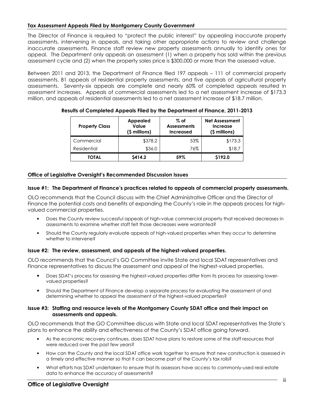#### Tax Assessment Appeals Filed by Montgomery County Government

The Director of Finance is required to "protect the public interest" by appealing inaccurate property assessments, intervening in appeals, and taking other appropriate actions to review and challenge inaccurate assessments. Finance staff review new property assessments annually to identify ones for appeal. The Department only appeals an assessment (1) when a property has sold within the previous assessment cycle and (2) when the property sales price is \$300,000 or more than the assessed value.

Between 2011 and 2013, the Department of Finance filed 197 appeals – 111 of commercial property assessments, 81 appeals of residential property assessments, and five appeals of agricultural property assessments. Seventy-six appeals are complete and nearly 60% of completed appeals resulted in assessment increases. Appeals of commercial assessments led to a net assessment increase of \$173.3 million, and appeals of residential assessments led to a net assessment increase of \$18.7 million.

| <b>Property Class</b> | <b>Appealed</b><br>Value<br>(\$ millions) | $\%$ of<br><b>Net Assessment</b><br><b>Assessments</b><br><b>Increase</b><br>(\$ millions)<br><b>Increased</b> |         |
|-----------------------|-------------------------------------------|----------------------------------------------------------------------------------------------------------------|---------|
| Commercial            | \$378.2                                   | 53%                                                                                                            | \$173.3 |
| Residential           | \$36.0                                    | 76%                                                                                                            | \$18.7  |
| <b>TOTAL</b>          | \$414.2                                   | 59%                                                                                                            | \$192.0 |

#### Results of Completed Appeals Filed by the Department of Finance, 2011-2013

#### Office of Legislative Oversight's Recommended Discussion Issues

#### Issue #1: The Department of Finance's practices related to appeals of commercial property assessments.

OLO recommends that the Council discuss with the Chief Administrative Officer and the Director of Finance the potential costs and benefits of expanding the County's role in the appeals process for highvalued commercial properties.

- Does the County review successful appeals of high-value commercial property that received decreases in assessments to examine whether staff felt those decreases were warranted?
- Should the County regularly evaluate appeals of high-valued properties when they occur to determine whether to intervene?

#### Issue #2: The review, assessment, and appeals of the highest-valued properties.

OLO recommends that the Council's GO Committee invite State and local SDAT representatives and Finance representatives to discuss the assessment and appeal of the highest-valued properties.

- Does SDAT's process for assessing the highest-valued properties differ from its process for assessing lowervalued properties?
- Should the Department of Finance develop a separate process for evaluating the assessment of and determining whether to appeal the assessment of the highest-valued properties?

#### Issue #3: Staffing and resource levels of the Montgomery County SDAT office and their impact on assessments and appeals.

OLO recommends that the GO Committee discuss with State and local SDAT representatives the State's plans to enhance the ability and effectiveness of the County's SDAT office going forward.

- As the economic recovery continues, does SDAT have plans to restore some of the staff resources that were reduced over the past few years?
- How can the County and the local SDAT office work together to ensure that new construction is assessed in a timely and effective manner so that it can become part of the County's tax rolls?
- What efforts has SDAT undertaken to ensure that its assessors have access to commonly-used real estate data to enhance the accuracy of assessments?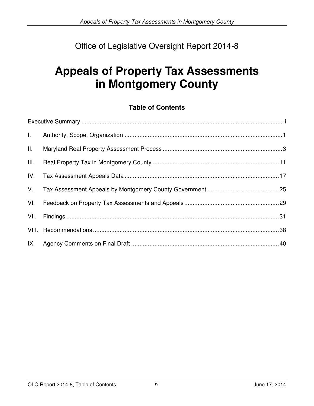# Office of Legislative Oversight Report 2014-8

# **Appeals of Property Tax Assessments in Montgomery County**

# **Table of Contents**

| $L$ . |  |
|-------|--|
| II.   |  |
| III.  |  |
| IV.   |  |
| V.    |  |
| VI.   |  |
| VII.  |  |
|       |  |
|       |  |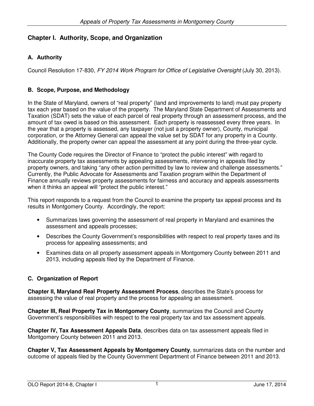# **Chapter I. Authority, Scope, and Organization**

# **A. Authority**

Council Resolution 17-830, FY 2014 Work Program for Office of Legislative Oversight (July 30, 2013).

# **B. Scope, Purpose, and Methodology**

In the State of Maryland, owners of "real property" (land and improvements to land) must pay property tax each year based on the value of the property. The Maryland State Department of Assessments and Taxation (SDAT) sets the value of each parcel of real property through an assessment process, and the amount of tax owed is based on this assessment. Each property is reassessed every three years. In the year that a property is assessed, any taxpayer (not just a property owner), County, municipal corporation, or the Attorney General can appeal the value set by SDAT for any property in a County. Additionally, the property owner can appeal the assessment at any point during the three-year cycle.

The County Code requires the Director of Finance to "protect the public interest" with regard to inaccurate property tax assessments by appealing assessments, intervening in appeals filed by property owners, and taking "any other action permitted by law to review and challenge assessments." Currently, the Public Advocate for Assessments and Taxation program within the Department of Finance annually reviews property assessments for fairness and accuracy and appeals assessments when it thinks an appeal will "protect the public interest."

This report responds to a request from the Council to examine the property tax appeal process and its results in Montgomery County. Accordingly, the report:

- Summarizes laws governing the assessment of real property in Maryland and examines the assessment and appeals processes;
- Describes the County Government's responsibilities with respect to real property taxes and its process for appealing assessments; and
- Examines data on all property assessment appeals in Montgomery County between 2011 and 2013, including appeals filed by the Department of Finance.

# **C. Organization of Report**

**Chapter II, Maryland Real Property Assessment Process**, describes the State's process for assessing the value of real property and the process for appealing an assessment.

**Chapter III, Real Property Tax in Montgomery County**, summarizes the Council and County Government's responsibilities with respect to the real property tax and tax assessment appeals.

**Chapter IV, Tax Assessment Appeals Data**, describes data on tax assessment appeals filed in Montgomery County between 2011 and 2013.

**Chapter V, Tax Assessment Appeals by Montgomery County**, summarizes data on the number and outcome of appeals filed by the County Government Department of Finance between 2011 and 2013.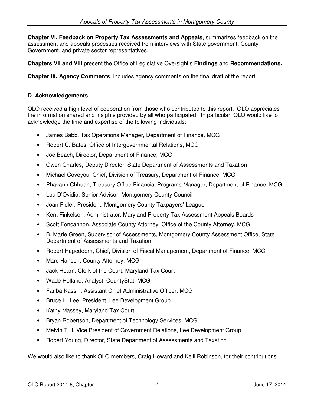**Chapter VI, Feedback on Property Tax Assessments and Appeals**, summarizes feedback on the assessment and appeals processes received from interviews with State government, County Government, and private sector representatives.

**Chapters VII and VIII** present the Office of Legislative Oversight's **Findings** and **Recommendations.** 

**Chapter IX, Agency Comments**, includes agency comments on the final draft of the report.

# **D. Acknowledgements**

OLO received a high level of cooperation from those who contributed to this report. OLO appreciates the information shared and insights provided by all who participated. In particular, OLO would like to acknowledge the time and expertise of the following individuals:

- James Babb, Tax Operations Manager, Department of Finance, MCG
- Robert C. Bates, Office of Intergovernmental Relations, MCG
- Joe Beach, Director, Department of Finance, MCG
- Owen Charles, Deputy Director, State Department of Assessments and Taxation
- Michael Coveyou, Chief, Division of Treasury, Department of Finance, MCG
- Phavann Chhuan, Treasury Office Financial Programs Manager, Department of Finance, MCG
- Lou D'Ovidio, Senior Advisor, Montgomery County Council
- Joan Fidler, President, Montgomery County Taxpayers' League
- Kent Finkelsen, Administrator, Maryland Property Tax Assessment Appeals Boards
- Scott Foncannon, Associate County Attorney, Office of the County Attorney, MCG
- B. Marie Green, Supervisor of Assessments, Montgomery County Assessment Office, State Department of Assessments and Taxation
- Robert Hagedoorn, Chief, Division of Fiscal Management, Department of Finance, MCG
- Marc Hansen, County Attorney, MCG
- Jack Hearn, Clerk of the Court, Maryland Tax Court
- Wade Holland, Analyst, CountyStat, MCG
- Fariba Kassiri, Assistant Chief Administrative Officer, MCG
- Bruce H. Lee, President, Lee Development Group
- Kathy Massey, Maryland Tax Court
- Bryan Robertson, Department of Technology Services, MCG
- Melvin Tull, Vice President of Government Relations, Lee Development Group
- Robert Young, Director, State Department of Assessments and Taxation

We would also like to thank OLO members, Craig Howard and Kelli Robinson, for their contributions.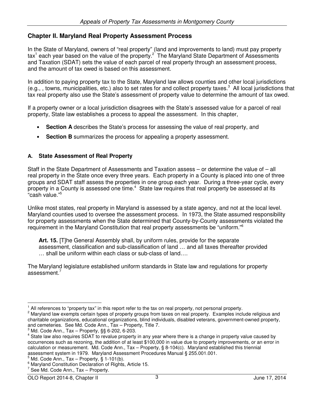# **Chapter II. Maryland Real Property Assessment Process**

In the State of Maryland, owners of "real property" (land and improvements to land) must pay property tax<sup>1</sup> each year based on the value of the property.<sup>2</sup> The Maryland State Department of Assessments and Taxation (SDAT) sets the value of each parcel of real property through an assessment process, and the amount of tax owed is based on this assessment.

In addition to paying property tax to the State, Maryland law allows counties and other local jurisdictions (e.g., , towns, municipalities, etc.) also to set rates for and collect property taxes.<sup>3</sup> All local jurisdictions that tax real property also use the State's assessment of property value to determine the amount of tax owed.

If a property owner or a local jurisdiction disagrees with the State's assessed value for a parcel of real property, State law establishes a process to appeal the assessment. In this chapter,

- **Section A** describes the State's process for assessing the value of real property, and
- **Section B** summarizes the process for appealing a property assessment.

# **A. State Assessment of Real Property**

Staff in the State Department of Assessments and Taxation assess – or determine the value of – all real property in the State once every three years. Each property in a County is placed into one of three groups and SDAT staff assess the properties in one group each year. During a three-year cycle, every property in a County is assessed one time. $4$  State law requires that real property be assessed at its "cash value."<sup>5</sup>

Unlike most states, real property in Maryland is assessed by a state agency, and not at the local level. Maryland counties used to oversee the assessment process. In 1973, the State assumed responsibility for property assessments when the State determined that County-by-County assessments violated the requirement in the Maryland Constitution that real property assessments be "uniform."<sup>6</sup>

**Art. 15.** [T]he General Assembly shall, by uniform rules, provide for the separate assessment, classification and sub-classification of land … and all taxes thereafter provided … shall be uniform within each class or sub-class of land….

The Maryland legislature established uniform standards in State law and regulations for property assessment.<sup>7</sup>

<sup>1</sup> All references to "property tax" in this report refer to the tax on real property, not personal property.

<sup>2</sup> Maryland law exempts certain types of property groups from taxes on real property. Examples include religious and charitable organizations, educational organizations, blind individuals, disabled veterans, government-owned property, and cemeteries. See Md. Code Ann., Tax – Property, Title 7.

<sup>3</sup> Md. Code Ann., Tax – Property, §§ 6-202, 6-203.

<sup>4</sup> State law also requires SDAT to revalue property in any year where there is a change in property value caused by occurrences such as rezoning, the addition of at least \$100,000 in value due to property improvements, or an error in calculation or measurement. Md. Code Ann., Tax – Property, § 8-104(c). Maryland established this triennial assessment system in 1979. Maryland Assessment Procedures Manual § 255.001.001.

<sup>5</sup> Md. Code Ann., Tax – Property, § 1-101(b).

<sup>&</sup>lt;sup>6</sup> Maryland Constitution Declaration of Rights, Article 15.

<sup>7</sup> See Md. Code Ann., Tax – Property.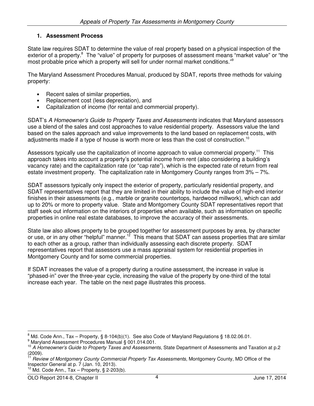# **1. Assessment Process**

State law requires SDAT to determine the value of real property based on a physical inspection of the exterior of a property.<sup>8</sup> The "value" of property for purposes of assessment means "market value" or "the most probable price which a property will sell for under normal market conditions."<sup>9</sup>

The Maryland Assessment Procedures Manual, produced by SDAT, reports three methods for valuing property:

- Recent sales of similar properties,
- Replacement cost (less depreciation), and
- Capitalization of income (for rental and commercial property).

SDAT's A Homeowner's Guide to Property Taxes and Assessments indicates that Maryland assessors use a blend of the sales and cost approaches to value residential property. Assessors value the land based on the sales approach and value improvements to the land based on replacement costs, with adjustments made if a type of house is worth more or less than the cost of construction.<sup>10</sup>

Assessors typically use the capitalization of income approach to value commercial property.<sup>11</sup> This approach takes into account a property's potential income from rent (also considering a building's vacancy rate) and the capitalization rate (or "cap rate"), which is the expected rate of return from real estate investment property. The capitalization rate in Montgomery County ranges from 3% – 7%.

SDAT assessors typically only inspect the exterior of property, particularly residential property, and SDAT representatives report that they are limited in their ability to include the value of high-end interior finishes in their assessments (e.g., marble or granite countertops, hardwood millwork), which can add up to 20% or more to property value. State and Montgomery County SDAT representatives report that staff seek out information on the interiors of properties when available, such as information on specific properties in online real estate databases, to improve the accuracy of their assessments.

State law also allows property to be grouped together for assessment purposes by area, by character or use, or in any other "helpful" manner.<sup>12</sup> This means that SDAT can assess properties that are similar to each other as a group, rather than individually assessing each discrete property. SDAT representatives report that assessors use a mass appraisal system for residential properties in Montgomery County and for some commercial properties.

If SDAT increases the value of a property during a routine assessment, the increase in value is "phased-in" over the three-year cycle, increasing the value of the property by one-third of the total increase each year. The table on the next page illustrates this process.

<sup>8</sup> Md. Code Ann., Tax – Property, § 8-104(b)(1). See also Code of Maryland Regulations § 18.02.06.01.

<sup>9</sup> Maryland Assessment Procedures Manual § 001.014.001.

<sup>&</sup>lt;sup>10</sup> A Homeowner's Guide to Property Taxes and Assessments, State Department of Assessments and Taxation at p.2 (2009).

Review of Montgomery County Commercial Property Tax Assessments, Montgomery County, MD Office of the Inspector General at p. 7 (Jan. 10, 2013).

 $12$  Md. Code Ann., Tax – Property, § 2-203(b).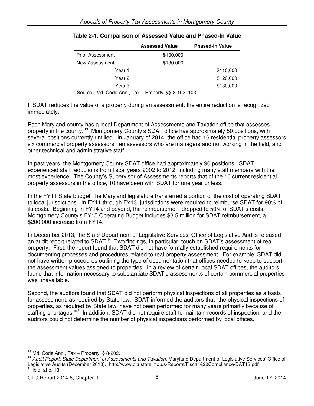|                  | <b>Assessed Value</b> | <b>Phased-In Value</b> |
|------------------|-----------------------|------------------------|
| Prior Assessment | \$100,000             |                        |
| New Assessment   | \$130,000             |                        |
| Year 1           |                       | \$110,000              |
| Year 2           |                       | \$120,000              |
| Year 3           |                       | \$130,000              |

| Table 2-1. Comparison of Assessed Value and Phased-In Value |  |
|-------------------------------------------------------------|--|
|-------------------------------------------------------------|--|

Source: Md. Code Ann., Tax – Property, §§ 8-102, 103

If SDAT reduces the value of a property during an assessment, the entire reduction is recognized immediately.

Each Maryland county has a local Department of Assessments and Taxation office that assesses property in the county.<sup>13</sup> Montgomery County's SDAT office has approximately 50 positions, with several positions currently unfilled. In January of 2014, the office had 16 residential property assessors, six commercial property assessors, ten assessors who are managers and not working in the field, and other technical and administrative staff.

In past years, the Montgomery County SDAT office had approximately 90 positions. SDAT experienced staff reductions from fiscal years 2002 to 2012, including many staff members with the most experience. The County's Supervisor of Assessments reports that of the 16 current residential property assessors in the office, 10 have been with SDAT for one year or less.

In the FY11 State budget, the Maryland legislature transferred a portion of the cost of operating SDAT to local jurisdictions. In FY11 through FY13, jurisdictions were required to reimburse SDAT for 90% of its costs. Beginning in FY14 and beyond, the reimbursement dropped to 50% of SDAT's costs. Montgomery County's FY15 Operating Budget includes \$3.5 million for SDAT reimbursement, a \$200,000 increase from FY14.

In December 2013, the State Department of Legislative Services' Office of Legislative Audits released an audit report related to SDAT.<sup>14</sup> Two findings, in particular, touch on SDAT's assessment of real property. First, the report found that SDAT did not have formally established requirements for documenting processes and procedures related to real property assessment. For example, SDAT did not have written procedures outlining the type of documentation that offices needed to keep to support the assessment values assigned to properties. In a review of certain local SDAT offices, the auditors found that information necessary to substantiate SDAT's assessments of certain commercial properties was unavailable.

Second, the auditors found that SDAT did not perform physical inspections of all properties as a basis for assessment, as required by State law. SDAT informed the auditors that "the physical inspections of properties, as required by State law, have not been performed for many years primarily because of staffing shortages."<sup>15</sup> In addition, SDAT did not require staff to maintain records of inspection, and the auditors could not determine the number of physical inspections performed by local offices.

 $13$  Md. Code Ann., Tax - Property, § 8-202.

<sup>&</sup>lt;sup>14</sup> Audit Report: State Department of Assessments and Taxation, Maryland Department of Legislative Services' Office of Legislative Audits (December 2013). http://www.ola.state.md.us/Reports/Fiscal%20Compliance/DAT13.pdf  $15$  lbid. at p. 13.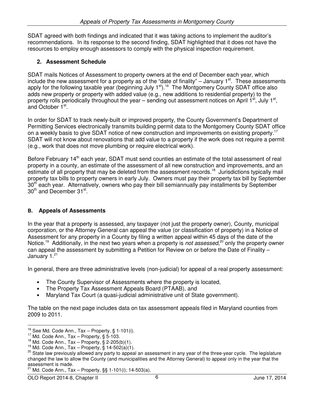SDAT agreed with both findings and indicated that it was taking actions to implement the auditor's recommendations. In its response to the second finding, SDAT highlighted that it does not have the resources to employ enough assessors to comply with the physical inspection requirement.

# **2. Assessment Schedule**

SDAT mails Notices of Assessment to property owners at the end of December each year, which include the new assessment for a property as of the "date of finality" – January  $1<sup>st</sup>$ . These assessments apply for the following taxable year (beginning July  $1<sup>st</sup>$ ).<sup>16</sup> The Montgomery County SDAT office also adds new property or property with added value (e.g., new additions to residential property) to the property rolls periodically throughout the year – sending out assessment notices on April  $1^{st}$ , July  $1^{st}$ , and October 1<sup>st</sup>.

In order for SDAT to track newly-built or improved property, the County Government's Department of Permitting Services electronically transmits building permit data to the Montgomery County SDAT office on a weekly basis to give SDAT notice of new construction and improvements on existing property.<sup>17</sup> SDAT will not know about renovations that add value to a property if the work does not require a permit (e.g., work that does not move plumbing or require electrical work).

Before February 14<sup>th</sup> each year, SDAT must send counties an estimate of the total assessment of real property in a county, an estimate of the assessment of all new construction and improvements, and an estimate of all property that may be deleted from the assessment records.<sup>18</sup> Jurisdictions typically mail property tax bills to property owners in early July. Owners must pay their property tax bill by September 30<sup>th</sup> each year. Alternatively, owners who pay their bill semiannually pay installments by September 30<sup>th</sup> and December 31<sup>st</sup>.

# **B. Appeals of Assessments**

In the year that a property is assessed, any taxpayer (not just the property owner), County, municipal corporation, or the Attorney General can appeal the value (or classification of property) in a Notice of Assessment for any property in a County by filing a written appeal within 45 days of the date of the Notice.<sup>19</sup> Additionally, in the next two years when a property is not assessed,<sup>20</sup> only the property owner can appeal the assessment by submitting a Petition for Review on or before the Date of Finality – January 1.<sup>21</sup>

In general, there are three administrative levels (non-judicial) for appeal of a real property assessment:

- The County Supervisor of Assessments where the property is located,
- The Property Tax Assessment Appeals Board (PTAAB), and
- Maryland Tax Court (a quasi-judicial administrative unit of State government).

The table on the next page includes data on tax assessment appeals filed in Maryland counties from 2009 to 2011.

 $16$  See Md. Code Ann., Tax – Property, § 1-101(i).

 $17$  Md. Code Ann., Tax – Property, § 5-103.

 $18$  Md. Code Ann., Tax – Property, § 2-205(b)(1).

 $19$  Md. Code Ann., Tax – Property, § 14-502(a)(1).

<sup>&</sup>lt;sup>20</sup> State law previously allowed any party to appeal an assessment in any year of the three-year cycle. The legislature changed the law to allow the County (and municipalities and the Attorney General) to appeal only in the year that the assessment is made.

<sup>&</sup>lt;sup>21</sup> Md. Code Ann., Tax - Property, §§ 1-101(i); 14-503(a).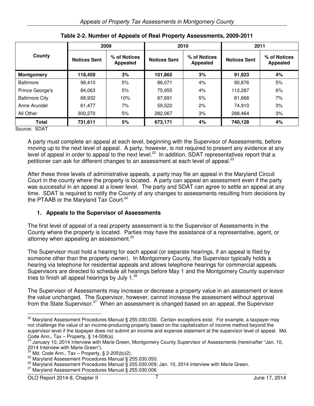|                       | 2009                |                                 | 2010                |                                 | 2011                |                                 |
|-----------------------|---------------------|---------------------------------|---------------------|---------------------------------|---------------------|---------------------------------|
| County                | <b>Notices Sent</b> | % of Notices<br><b>Appealed</b> | <b>Notices Sent</b> | % of Notices<br><b>Appealed</b> | <b>Notices Sent</b> | % of Notices<br><b>Appealed</b> |
| <b>Montgomery</b>     | 118,459             | 3%                              | 101,865             | 3%                              | 91,923              | 4%                              |
| <b>Baltimore</b>      | 98.410              | 5%                              | 86.071              | 4%                              | 90,876              | 5%                              |
| Prince George's       | 84,063              | 5%                              | 75,955              | 4%                              | 112,287             | 6%                              |
| <b>Baltimore City</b> | 68,932              | 10%                             | 67.691              | 5%                              | 81,668              | 7%                              |
| Anne Arundel          | 61,477              | 7%                              | 59,522              | 2%                              | 74,910              | 3%                              |
| All Other             | 300,270             | 5%                              | 282,067             | 3%                              | 288,464             | 3%                              |
| <b>Total</b>          | 731,611             | 5%                              | 673,171             | 4%                              | 740,128             | 4%                              |

**Table 2-2. Number of Appeals of Real Property Assessments, 2009-2011** 

Source: SDAT

 $\overline{a}$ 

A party must complete an appeal at each level, beginning with the Supervisor of Assessments, before moving up to the next level of appeal. A party, however, is not required to present any evidence at any level of appeal in order to appeal to the next level.<sup>22</sup> In addition, SDAT representatives report that a petitioner can ask for different changes to an assessment at each level of appeal.<sup>23</sup>

After these three levels of administrative appeals, a party may file an appeal in the Maryland Circuit Court in the county where the property is located. A party can appeal an assessment even if the party was successful in an appeal at a lower level. The party and SDAT can agree to settle an appeal at any time. SDAT is required to notify the County of any changes to assessments resulting from decisions by the PTAAB or the Maryland Tax Court.<sup>24</sup>

# **1. Appeals to the Supervisor of Assessments**

The first level of appeal of a real property assessment is to the Supervisor of Assessments in the County where the property is located. Parties may have the assistance of a representative, agent, or attorney when appealing an assessment.<sup>25</sup>

The Supervisor must hold a hearing for each appeal (or separate hearings, if an appeal is filed by someone other than the property owner). In Montgomery County, the Supervisor typically holds a hearing via telephone for residential appeals and allows telephone hearings for commercial appeals. Supervisors are directed to schedule all hearings before May 1 and the Montgomery County supervisor tries to finish all appeal hearings by July 1. $^{26}$ 

The Supervisor of Assessments may increase or decrease a property value in an assessment or leave the value unchanged. The Supervisor, however, cannot increase the assessment without approval from the State Supervisor.<sup>27</sup> When an assessment is changed based on an appeal, the Supervisor

<sup>&</sup>lt;sup>22</sup> Maryland Assessment Procedures Manual § 255.030.030. Certain exceptions exist. For example, a taxpayer may not challenge the value of an income-producing property based on the capitalization of income method beyond the supervisor level if the taxpayer does not submit an income and expense statement at the supervisor level of appeal. Md. Code Ann., Tax – Property, § 14-508(a).

<sup>23</sup> January 10, 2014 Interview with Marie Green, Montgomery County Supervisor of Assessments (hereinafter "Jan. 10, 2014 Interview with Marie Green").

<sup>&</sup>lt;sup>24</sup> Md. Code Ann., Tax – Property, § 2-205(b)(2).

<sup>25</sup> Maryland Assessment Procedures Manual § 255.030.050.

<sup>26</sup> Maryland Assessment Procedures Manual § 255.030.009; Jan. 10, 2014 Interview with Marie Green.

<sup>&</sup>lt;sup>27</sup> Maryland Assessment Procedures Manual § 255.030.006.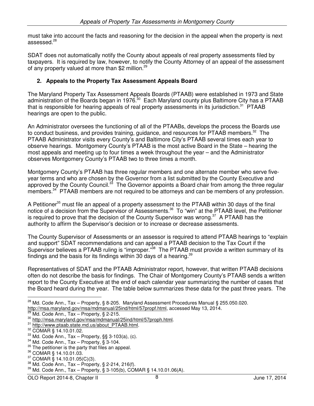must take into account the facts and reasoning for the decision in the appeal when the property is next assessed.<sup>28</sup>

SDAT does not automatically notify the County about appeals of real property assessments filed by taxpayers. It is required by law, however, to notify the County Attorney of an appeal of the assessment of any property valued at more than \$2 million.<sup>29</sup>

# **2. Appeals to the Property Tax Assessment Appeals Board**

The Maryland Property Tax Assessment Appeals Boards (PTAAB) were established in 1973 and State administration of the Boards began in 1976.<sup>30</sup> Each Maryland county plus Baltimore City has a PTAAB that is responsible for hearing appeals of real property assessments in its jurisdiction.<sup>31</sup> PTAAB hearings are open to the public.

An Administrator oversees the functioning of all of the PTAABs, develops the process the Boards use to conduct business, and provides training, guidance, and resources for PTAAB members.<sup>32</sup> The PTAAB Administrator visits every County's and Baltimore City's PTAAB several times each year to observe hearings. Montgomery County's PTAAB is the most active Board in the State – hearing the most appeals and meeting up to four times a week throughout the year – and the Administrator observes Montgomery County's PTAAB two to three times a month.

Montgomery County's PTAAB has three regular members and one alternate member who serve fiveyear terms and who are chosen by the Governor from a list submitted by the County Executive and approved by the County Council.<sup>33</sup> The Governor appoints a Board chair from among the three regular members.<sup>34</sup> PTAAB members are not required to be attorneys and can be members of any profession.

A Petitioner<sup>35</sup> must file an appeal of a property assessment to the PTAAB within 30 days of the final notice of a decision from the Supervisor of Assessments.<sup>36</sup> To "win" at the PTAAB level, the Petitioner is required to prove that the decision of the County Supervisor was wrong.<sup>37</sup> A PTAAB has the authority to affirm the Supervisor's decision or to increase or decrease assessments.

The County Supervisor of Assessments or an assessor is required to attend PTAAB hearings to "explain and support" SDAT recommendations and can appeal a PTAAB decision to the Tax Court if the Supervisor believes a PTAAB ruling is "improper."<sup>38</sup> The PTAAB must provide a written summary of its findings and the basis for its findings within 30 days of a hearing. $39$ 

Representatives of SDAT and the PTAAB Administrator report, however, that written PTAAB decisions often do not describe the basis for findings. The Chair of Montgomery County's PTAAB sends a written report to the County Executive at the end of each calendar year summarizing the number of cases that the Board heard during the year. The table below summarizes these data for the past three years. The

<sup>&</sup>lt;sup>28</sup> Md. Code Ann., Tax – Property, § 8-205. Maryland Assessment Procedures Manual § 255.050.020. http://msa.maryland.gov/msa/mdmanual/25ind/html/57propf.html, accessed May 13, 2014.

Md. Code Ann., Tax – Property, § 2-215.

<sup>30</sup> http://msa.maryland.gov/msa/mdmanual/25ind/html/57proph.html.

<sup>31</sup> http://www.ptaab.state.md.us/about\_PTAAB.html.

<sup>32</sup> COMAR § 14.10.01.02.

<sup>33</sup> Md. Code Ann., Tax – Property, §§ 3-103(a), (c).

 $34$  Md. Code Ann., Tax - Property, § 3-104.

 $35$  The petitioner is the party that files an appeal.

<sup>36</sup> COMAR § 14.10.01.03.

 $37$  COMAR § 14.10.01.05(C)(3).

 $38$  Md. Code Ann., Tax – Property, § 2-214, 216(f).

 $39$  Md. Code Ann., Tax – Property, § 3-105(b), COMAR § 14.10.01.06(A).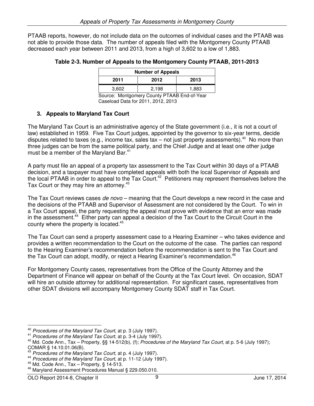PTAAB reports, however, do not include data on the outcomes of individual cases and the PTAAB was not able to provide those data. The number of appeals filed with the Montgomery County PTAAB decreased each year between 2011 and 2013, from a high of 3,602 to a low of 1,883.

| <b>Number of Appeals</b> |        |       |  |
|--------------------------|--------|-------|--|
| 2012<br>2011<br>2013     |        |       |  |
| 3,602                    | 2,198  | 1,883 |  |
| . .                      | ------ | .     |  |

Source: Montgomery County PTAAB End-of-Year Caseload Data for 2011, 2012, 2013

# **3. Appeals to Maryland Tax Court**

The Maryland Tax Court is an administrative agency of the State government (i.e., it is not a court of law) established in 1959. Five Tax Court judges, appointed by the governor to six-year terms, decide disputes related to taxes (e.g., income tax, sales tax – not just property assessments).<sup>40</sup> No more than three judges can be from the same political party, and the Chief Judge and at least one other judge must be a member of the Maryland Bar.<sup>41</sup>

A party must file an appeal of a property tax assessment to the Tax Court within 30 days of a PTAAB decision, and a taxpayer must have completed appeals with both the local Supervisor of Appeals and the local PTAAB in order to appeal to the Tax Court.<sup>42</sup> Petitioners may represent themselves before the Tax Court or they may hire an attorney.<sup>43</sup>

The Tax Court reviews cases de novo – meaning that the Court develops a new record in the case and the decisions of the PTAAB and Supervisor of Assessment are not considered by the Court. To win in a Tax Court appeal, the party requesting the appeal must prove with evidence that an error was made in the assessment.<sup>44</sup> Either party can appeal a decision of the Tax Court to the Circuit Court in the county where the property is located.<sup>45</sup>

The Tax Court can send a property assessment case to a Hearing Examiner – who takes evidence and provides a written recommendation to the Court on the outcome of the case. The parties can respond to the Hearing Examiner's recommendation before the recommendation is sent to the Tax Court and the Tax Court can adopt, modify, or reject a Hearing Examiner's recommendation.<sup>46</sup>

For Montgomery County cases, representatives from the Office of the County Attorney and the Department of Finance will appear on behalf of the County at the Tax Court level. On occasion, SDAT will hire an outside attorney for additional representation. For significant cases, representatives from other SDAT divisions will accompany Montgomery County SDAT staff in Tax Court.

<sup>&</sup>lt;sup>40</sup> Procedures of the Maryland Tax Court, at p. 3 (July 1997).

<sup>&</sup>lt;sup>41</sup> Procedures of the Maryland Tax Court, at p. 3-4 (July 1997).

 $42$  Md. Code Ann., Tax – Property, §§ 14-512(b), (f); Procedures of the Maryland Tax Court, at p. 5-6 (July 1997); COMAR § 14.10.01.06(B).

Procedures of the Maryland Tax Court, at p. 4 (July 1997).

<sup>&</sup>lt;sup>44</sup> Procedures of the Maryland Tax Court, at p. 11-12 (July 1997).

 $45$  Md. Code Ann., Tax – Property, § 14-513.

<sup>46</sup> Maryland Assessment Procedures Manual § 229.050.010.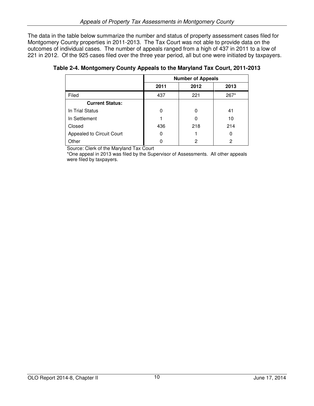The data in the table below summarize the number and status of property assessment cases filed for Montgomery County properties in 2011-2013. The Tax Court was not able to provide data on the outcomes of individual cases. The number of appeals ranged from a high of 437 in 2011 to a low of 221 in 2012. Of the 925 cases filed over the three year period, all but one were initiated by taxpayers.

|                           | <b>Number of Appeals</b> |      |        |
|---------------------------|--------------------------|------|--------|
|                           | 2011                     | 2012 | 2013   |
| Filed                     | 437                      | 221  | $267*$ |
| <b>Current Status:</b>    |                          |      |        |
| In Trial Status           |                          | 0    | 41     |
| In Settlement             |                          | 0    | 10     |
| Closed                    | 436                      | 218  | 214    |
| Appealed to Circuit Court | ი                        |      | 0      |
| Other                     |                          | 2    | 2      |

**Table 2-4. Montgomery County Appeals to the Maryland Tax Court, 2011-2013** 

Source: Clerk of the Maryland Tax Court

\*One appeal in 2013 was filed by the Supervisor of Assessments. All other appeals were filed by taxpayers.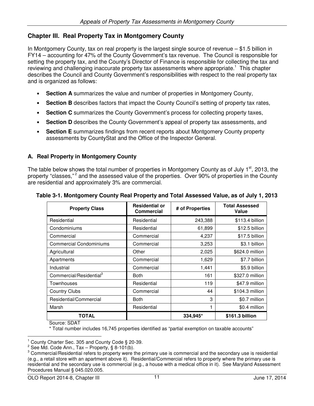# **Chapter III. Real Property Tax in Montgomery County**

In Montgomery County, tax on real property is the largest single source of revenue – \$1.5 billion in FY14 – accounting for 47% of the County Government's tax revenue. The Council is responsible for setting the property tax, and the County's Director of Finance is responsible for collecting the tax and reviewing and challenging inaccurate property tax assessments where appropriate.<sup>1</sup> This chapter describes the Council and County Government's responsibilities with respect to the real property tax and is organized as follows:

- **Section A** summarizes the value and number of properties in Montgomery County,
- **Section B** describes factors that impact the County Council's setting of property tax rates,
- **Section C** summarizes the County Government's process for collecting property taxes,
- **Section D** describes the County Government's appeal of property tax assessments, and
- **Section E** summarizes findings from recent reports about Montgomery County property assessments by CountyStat and the Office of the Inspector General.

# **A. Real Property in Montgomery County**

The table below shows the total number of properties in Montgomery County as of July  $1<sup>st</sup>$ , 2013, the property "classes,"<sup>2</sup> and the assessed value of the properties. Over 90% of properties in the County are residential and approximately 3% are commercial.

| <b>Property Class</b>               | <b>Residential or</b><br><b>Commercial</b> | # of Properties | <b>Total Assessed</b><br>Value |
|-------------------------------------|--------------------------------------------|-----------------|--------------------------------|
| Residential                         | Residential                                | 243,388         | \$113.4 billion                |
| Condominiums                        | Residential                                | 61,899          | \$12.5 billion                 |
| Commercial                          | Commercial                                 | 4,237           | \$17.5 billion                 |
| <b>Commercial Condominiums</b>      | Commercial                                 | 3,253           | \$3.1 billion                  |
| Agricultural                        | Other                                      | 2,025           | \$624.0 million                |
| Apartments                          | Commercial                                 | 1,629           | \$7.7 billion                  |
| Industrial                          | Commercial                                 | 1,441           | \$5.9 billion                  |
| Commercial/Residential <sup>3</sup> | <b>Both</b>                                | 161             | \$327.0 million                |
| Townhouses                          | Residential                                | 119             | \$47.9 million                 |
| <b>Country Clubs</b>                | Commercial                                 | 44              | \$104.3 million                |
| Residential/Commercial              | <b>Both</b>                                | 3               | \$0.7 million                  |
| Marsh                               | Residential                                | 1               | \$0.4 million                  |
| TOTAL                               |                                            | 334,945*        | \$161.3 billion                |

# **Table 3-1. Montgomery County Real Property and Total Assessed Value, as of July 1, 2013**

Source: SDAT

 $\overline{a}$ 

\* Total number includes 16,745 properties identified as "partial exemption on taxable accounts"

<sup>1</sup> County Charter Sec. 305 and County Code § 20-39.

<sup>&</sup>lt;sup>2</sup> See Md. Code Ann., Tax – Property, § 8-101(b).

<sup>&</sup>lt;sup>3</sup> Commercial/Residential refers to property were the primary use is commercial and the secondary use is residential (e.g., a retail store with an apartment above it). Residential/Commercial refers to property where the primary use is residential and the secondary use is commercial (e.g., a house with a medical office in it). See Maryland Assessment Procedures Manual § 045.020.005.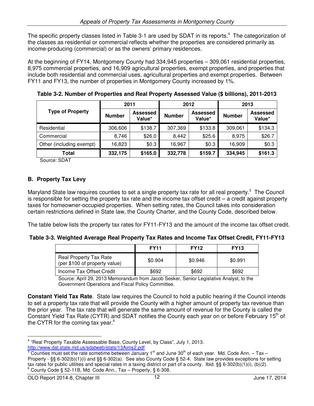The specific property classes listed in Table 3-1 are used by SDAT in its reports.<sup>4</sup> The categorization of the classes as residential or commercial reflects whether the properties are considered primarily as income-producing (commercial) or as the owners' primary residences.

At the beginning of FY14, Montgomery County had 334,945 properties – 309,061 residential properties, 8,975 commercial properties, and 16,909 agricultural properties, exempt properties, and properties that include both residential and commercial uses, agricultural properties and exempt properties. Between FY11 and FY13, the number of properties in Montgomery County increased by 1%.

|                          | 2011          |                           | 2012          |                           | 2013          |                           |
|--------------------------|---------------|---------------------------|---------------|---------------------------|---------------|---------------------------|
| <b>Type of Property</b>  | <b>Number</b> | <b>Assessed</b><br>Value* | <b>Number</b> | <b>Assessed</b><br>Value* | <b>Number</b> | <b>Assessed</b><br>Value* |
| Residential              | 306,606       | \$138.7                   | 307,369       | \$133.8                   | 309,061       | \$134.3                   |
| Commercial               | 8,746         | \$26.0                    | 8,442         | \$25.6                    | 8,975         | \$26.7                    |
| Other (including exempt) | 16,823        | \$0.3                     | 16,967        | \$0.3                     | 16,909        | \$0.3                     |
| Total                    | 332,175       | \$165.0                   | 332,778       | \$159.7                   | 334,945       | \$161.3                   |

**Table 3-2. Number of Properties and Real Property Assessed Value (\$ billions), 2011-2013** 

Source: SDAT

# **B. Property Tax Levy**

Maryland State law requires counties to set a single property tax rate for all real property.<sup>5</sup> The Council is responsible for setting the property tax rate and the income tax offset credit – a credit against property taxes for homeowner-occupied properties. When setting rates, the Council takes into consideration certain restrictions defined in State law, the County Charter, and the County Code, described below.

The table below lists the property tax rates for FY11-FY13 and the amount of the income tax offset credit.

# **Table 3-3. Weighted Average Real Property Tax Rates and Income Tax Offset Credit, FY11-FY13**

|                                                         | <b>FY11</b> | <b>FY12</b> | <b>FY13</b> |
|---------------------------------------------------------|-------------|-------------|-------------|
| Real Property Tax Rate<br>(per \$100 of property value) | \$0.904     | \$0.946     | \$0.991     |
| Income Tax Offset Credit                                | \$692       | \$692       | \$692       |

Source: April 29, 2013 Memorandum from Jacob Sesker, Senior Legislative Analyst, to the Government Operations and Fiscal Policy Committee.

**Constant Yield Tax Rate**. State law requires the Council to hold a public hearing if the Council intends to set a property tax rate that will provide the County with a higher amount of property tax revenue than the prior year. The tax rate that will generate the same amount of revenue for the County is called the Constant Yield Tax Rate (CYTR) and SDAT notifies the County each year on or before February 15<sup>th</sup> of the CYTR for the coming tax year. $6$ 

<sup>&</sup>lt;sup>4</sup> "Real Property Taxable Assessable Base, County Level, by Class", July 1, 2013. http://www.dat.state.md.us/sdatweb/stats/13Aims2.pdf

<sup>5</sup> Counties must set the rate sometime between January  $1<sup>st</sup>$  and June 30<sup>th</sup> of each year. Md. Code Ann. – Tax – Property - §§ 6-302(b)(1)(i) and §§ 6-302(a). See also County Code § 52-4. State law provides exceptions for setting tax rates for public utilities and special rates in a taxing district or part of a county. Ibid. §§ 6-302(b)(1)(i), (b)(2).  $6$  County Code § 52-11B, Md. Code Ann., Tax - Property, § 6-308.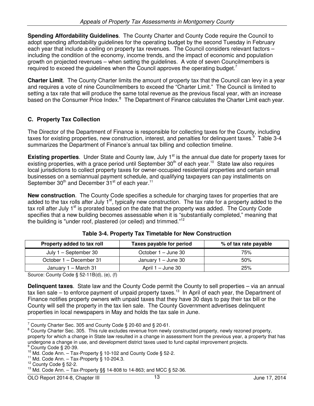**Spending Affordability Guidelines**. The County Charter and County Code require the Council to adopt spending affordability guidelines for the operating budget by the second Tuesday in February each year that include a ceiling on property tax revenues. The Council considers relevant factors – including the condition of the economy, income trends, and the impact of economic and population growth on projected revenues – when setting the guidelines. A vote of seven Councilmembers is required to exceed the quidelines when the Council approves the operating budget.<sup>7</sup>

**Charter Limit**. The County Charter limits the amount of property tax that the Council can levy in a year and requires a vote of nine Councilmembers to exceed the "Charter Limit." The Council is limited to setting a tax rate that will produce the same total revenue as the previous fiscal year, with an increase based on the Consumer Price Index.<sup>8</sup> The Department of Finance calculates the Charter Limit each year.

# **C. Property Tax Collection**

The Director of the Department of Finance is responsible for collecting taxes for the County, including taxes for existing properties, new construction, interest, and penalties for delinquent taxes.<sup>9</sup> Table 3-4 summarizes the Department of Finance's annual tax billing and collection timeline.

**Existing properties**. Under State and County law, July 1<sup>st</sup> is the annual due date for property taxes for existing properties, with a grace period until September  $30<sup>th</sup>$  of each year.<sup>10</sup> State law also requires local jurisdictions to collect property taxes for owner-occupied residential properties and certain small businesses on a semiannual payment schedule, and qualifying taxpayers can pay installments on September  $30<sup>th</sup>$  and December  $31<sup>st</sup>$  of each year.<sup>11</sup>

**New construction**. The County Code specifies a schedule for charging taxes for properties that are added to the tax rolls after July  $1<sup>st</sup>$ , typically new construction. The tax rate for a property added to the tax roll after July  $1^{\text{st}}$  is prorated based on the date that the property was added. The County Code specifies that a new building becomes assessable when it is "substantially completed," meaning that the building is "under roof, plastered (or ceiled) and trimmed."<sup>12</sup>

| Property added to tax roll | Taxes payable for period | % of tax rate payable |
|----------------------------|--------------------------|-----------------------|
| July 1 – September 30      | October 1 – June 30      | 75%                   |
| October 1 – December 31    | January 1 – June 30      | 50%                   |
| January 1 – March 31       | April $1 -$ June 30      | 25%                   |

|  |  | Table 3-4. Property Tax Timetable for New Construction |
|--|--|--------------------------------------------------------|
|--|--|--------------------------------------------------------|

Source: County Code § 52-11B(d), (e), (f)

**Delinquent taxes**. State law and the County Code permit the County to sell properties – via an annual tax lien sale – to enforce payment of unpaid property taxes.<sup>13</sup> In April of each year, the Department of Finance notifies property owners with unpaid taxes that they have 30 days to pay their tax bill or the County will sell the property in the tax lien sale. The County Government advertises delinquent properties in local newspapers in May and holds the tax sale in June.  $\overline{a}$ 

<sup>&</sup>lt;sup>7</sup> County Charter Sec. 305 and County Code § 20-60 and § 20-61.

<sup>&</sup>lt;sup>8</sup> County Charter Sec. 305. This rule excludes revenue from newly constructed property, newly rezoned property, property for which a change in State law resulted in a change in assessment from the previous year, a property that has undergone a change in use, and development district taxes used to fund capital improvement projects.

<sup>&</sup>lt;sup>9</sup> County Code § 20-39.

 $10$  Md. Code Ann. - Tax-Property § 10-102 and County Code § 52-2.

 $11$  Md. Code Ann. - Tax-Property § 10-204.3.

<sup>&</sup>lt;sup>12</sup> County Code § 52-2.

 $13$  Md. Code Ann. – Tax-Property §§ 14-808 to 14-863; and MCC § 52-36.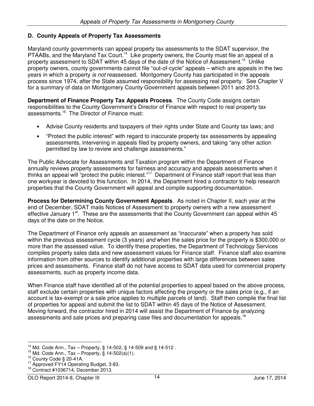# **D. County Appeals of Property Tax Assessments**

Maryland county governments can appeal property tax assessments to the SDAT supervisor, the PTAABs, and the Maryland Tax Court.<sup>14</sup> Like property owners, the County must file an appeal of a property assessment to SDAT within 45 days of the date of the Notice of Assessment.<sup>15</sup> Unlike property owners, county governments cannot file "out-of-cycle" appeals – which are appeals in the two years in which a property is not reassessed. Montgomery County has participated in the appeals process since 1974, after the State assumed responsibility for assessing real property. See Chapter V for a summary of data on Montgomery County Government appeals between 2011 and 2013.

**Department of Finance Property Tax Appeals Process**. The County Code assigns certain responsibilities to the County Government's Director of Finance with respect to real property tax assessments.<sup>16</sup> The Director of Finance must:

- Advise County residents and taxpayers of their rights under State and County tax laws; and
- "Protect the public interest" with regard to inaccurate property tax assessments by appealing assessments, intervening in appeals filed by property owners, and taking "any other action permitted by law to review and challenge assessments."

The Public Advocate for Assessments and Taxation program within the Department of Finance annually reviews property assessments for fairness and accuracy and appeals assessments when it thinks an appeal will "protect the public interest."<sup>17</sup> Department of Finance staff report that less than one workyear is devoted to this function. In 2014, the Department hired a contractor to help research properties that the County Government will appeal and compile supporting documentation.

**Process for Determining County Government Appeals**. As noted in Chapter II, each year at the end of December, SDAT mails Notices of Assessment to property owners with a new assessment effective January 1<sup>st</sup>. These are the assessments that the County Government can appeal within 45 days of the date on the Notice.

The Department of Finance only appeals an assessment as "inaccurate" when a property has sold within the previous assessment cycle (3 years) and when the sales price for the property is \$300,000 or more than the assessed value. To identify these properties, the Department of Technology Services compiles property sales data and new assessment values for Finance staff. Finance staff also examine information from other sources to identify additional properties with large differences between sales prices and assessments. Finance staff do not have access to SDAT data used for commercial property assessments, such as property income data.

When Finance staff have identified all of the potential properties to appeal based on the above process, staff exclude certain properties with unique factors affecting the property or the sales price (e.g., if an account is tax-exempt or a sale price applies to multiple parcels of land). Staff then compile the final list of properties for appeal and submit the list to SDAT within 45 days of the Notice of Assessment. Moving forward, the contractor hired in 2014 will assist the Department of Finance by analyzing assessments and sale prices and preparing case files and documentation for appeals.<sup>18</sup>

<sup>&</sup>lt;sup>14</sup> Md. Code Ann., Tax – Property, § 14-502, § 14-509 and § 14-512.

<sup>&</sup>lt;sup>15</sup> Md. Code Ann., Tax – Property,  $\tilde{S}$  14-502(a)(1).

<sup>16</sup> County Code § 20-41A.

<sup>&</sup>lt;sup>17</sup> Approved FY14 Operating Budget, 3-83.

<sup>18</sup> Contract #1036714, December 2013.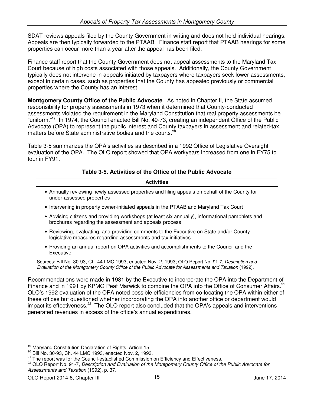SDAT reviews appeals filed by the County Government in writing and does not hold individual hearings. Appeals are then typically forwarded to the PTAAB. Finance staff report that PTAAB hearings for some properties can occur more than a year after the appeal has been filed.

Finance staff report that the County Government does not appeal assessments to the Maryland Tax Court because of high costs associated with those appeals. Additionally, the County Government typically does not intervene in appeals initiated by taxpayers where taxpayers seek lower assessments, except in certain cases, such as properties that the County has appealed previously or commercial properties where the County has an interest.

**Montgomery County Office of the Public Advocate**. As noted in Chapter II, the State assumed responsibility for property assessments in 1973 when it determined that County-conducted assessments violated the requirement in the Maryland Constitution that real property assessments be "uniform."<sup>19</sup> In 1974, the Council enacted Bill No. 49-73, creating an independent Office of the Public Advocate (OPA) to represent the public interest and County taxpayers in assessment and related-tax matters before State administrative bodies and the courts.<sup>20</sup>

Table 3-5 summarizes the OPA's activities as described in a 1992 Office of Legislative Oversight evaluation of the OPA. The OLO report showed that OPA workyears increased from one in FY75 to four in FY91.

| Table 3-5. Activities of the Office of the Public Advocate |
|------------------------------------------------------------|
|------------------------------------------------------------|

| <b>Activities</b>                                                                                                                                                                                              |
|----------------------------------------------------------------------------------------------------------------------------------------------------------------------------------------------------------------|
| • Annually reviewing newly assessed properties and filing appeals on behalf of the County for<br>under-assessed properties                                                                                     |
| • Intervening in property owner-initiated appeals in the PTAAB and Maryland Tax Court                                                                                                                          |
| • Advising citizens and providing workshops (at least six annually), informational pamphlets and<br>brochures regarding the assessment and appeals process                                                     |
| • Reviewing, evaluating, and providing comments to the Executive on State and/or County<br>legislative measures regarding assessments and tax initiatives                                                      |
| • Providing an annual report on OPA activities and accomplishments to the Council and the<br>Executive                                                                                                         |
| Sources: Bill No. 30-93, Ch. 44 LMC 1993, enacted Nov. 2, 1993; OLO Report No. 91-7, Description and<br>Evaluation of the Montgomery County Office of the Public Advocate for Assessments and Taxation (1992). |

Recommendations were made in 1981 by the Executive to incorporate the OPA into the Department of Finance and in 1991 by KPMG Peat Marwick to combine the OPA into the Office of Consumer Affairs.<sup>21</sup> OLO's 1992 evaluation of the OPA noted possible efficiencies from co-locating the OPA within either of these offices but questioned whether incorporating the OPA into another office or department would impact its effectiveness.<sup>22</sup> The OLO report also concluded that the OPA's appeals and interventions generated revenues in excess of the office's annual expenditures.

<sup>19</sup> Maryland Constitution Declaration of Rights, Article 15.

<sup>20</sup> Bill No. 30-93, Ch. 44 LMC 1993, enacted Nov. 2, 1993.

 $21$  The report was for the Council-established Commission on Efficiency and Effectiveness.

<sup>&</sup>lt;sup>22</sup> OLO Report No. 91-7, Description and Evaluation of the Montgomery County Office of the Public Advocate for Assessments and Taxation (1992), p. 37.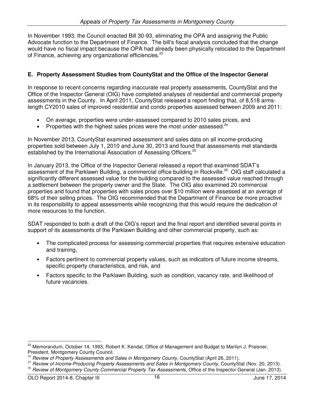In November 1993, the Council enacted Bill 30-93, eliminating the OPA and assigning the Public Advocate function to the Department of Finance. The bill's fiscal analysis concluded that the change would have no fiscal impact because the OPA had already been physically relocated to the Department of Finance, achieving any organizational efficiencies.<sup>23</sup>

# **E. Property Assessment Studies from CountyStat and the Office of the Inspector General**

In response to recent concerns regarding inaccurate real property assessments, CountyStat and the Office of the Inspector General (OIG) have completed analyses of residential and commercial property assessments in the County. In April 2011, CountyStat released a report finding that, of 8,518 armslength CY2010 sales of improved residential and condo properties assessed between 2009 and 2011:

- On average, properties were under-assessed compared to 2010 sales prices, and
- Properties with the highest sales prices were the most under-assessed. $24$

In November 2013, CountyStat examined assessment and sales data on all income-producing properties sold between July 1, 2010 and June 30, 2013 and found that assessments met standards established by the International Association of Assessing Officers.<sup>25</sup>

In January 2013, the Office of the Inspector General released a report that examined SDAT's assessment of the Parklawn Building, a commercial office building in Rockville.<sup>26</sup> OIG staff calculated a significantly different assessed value for the building compared to the assessed value reached through a settlement between the property owner and the State. The OIG also examined 20 commercial properties and found that properties with sales prices over \$10 million were assessed at an average of 68% of their selling prices. The OIG recommended that the Department of Finance be more proactive in its responsibility to appeal assessments while recognizing that this would require the dedication of more resources to the function.

SDAT responded to both a draft of the OIG's report and the final report and identified several points in support of its assessments of the Parklawn Building and other commercial property, such as:

- The complicated process for assessing commercial properties that requires extensive education and training,
- Factors pertinent to commercial property values, such as indicators of future income streams, specific property characteristics, and risk, and
- Factors specific to the Parklawn Building, such as condition, vacancy rate, and likelihood of future vacancies.

<sup>&</sup>lt;sup>23</sup> Memorandum, October 14, 1993, Robert K. Kendal, Office of Management and Budget to Marilyn J. Praisner, President, Montgomery County Council.

Review of Property Assessments and Sales in Montgomery County, CountyStat (April 26, 2011).

<sup>&</sup>lt;sup>25</sup> Review of Income-Producing Property Assessments and Sales in Montgomery County, CountyStat (Nov. 20, 2013).

<sup>&</sup>lt;sup>26</sup> Review of Montgomery County Commercial Property Tax Assessments, Office of the Inspector General (Jan. 2013).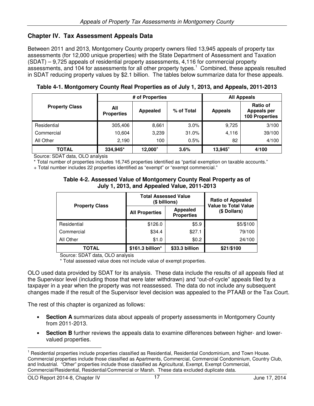# **Chapter IV. Tax Assessment Appeals Data**

Between 2011 and 2013, Montgomery County property owners filed 13,945 appeals of property tax assessments (for 12,000 unique properties) with the State Department of Assessment and Taxation (SDAT) – 9,725 appeals of residential property assessments, 4,116 for commercial property assessments, and 104 for assessments for all other property types.<sup>1</sup> Combined, these appeals resulted in SDAT reducing property values by \$2.1 billion. The tables below summarize data for these appeals.

| # of Properties       |                          |          |            | <b>All Appeals</b>  |                                                                |  |
|-----------------------|--------------------------|----------|------------|---------------------|----------------------------------------------------------------|--|
| <b>Property Class</b> | All<br><b>Properties</b> | Appealed | % of Total | <b>Appeals</b>      | <b>Ratio of</b><br><b>Appeals per</b><br><b>100 Properties</b> |  |
| Residential           | 305,406                  | 8,661    | 3.0%       | 9,725               | 3/100                                                          |  |
| Commercial            | 10,604                   | 3,239    | 31.0%      | 4,116               | 39/100                                                         |  |
| All Other             | 2,190                    | 100      | 0.5%       | 82                  | 4/100                                                          |  |
| <b>TOTAL</b>          | 334,945*                 | 12,000+  | 3.6%       | 13,945 <sup>+</sup> | 4/100                                                          |  |

**Table 4-1. Montgomery County Real Properties as of July 1, 2013, and Appeals, 2011-2013** 

Source: SDAT data, OLO analysis

\* Total number of properties includes 16,745 properties identified as "partial exemption on taxable accounts."

+ Total number includes 22 properties identified as "exempt" or "exempt commercial."

#### **Table 4-2. Assessed Value of Montgomery County Real Property as of July 1, 2013, and Appealed Value, 2011-2013**

|                       | <b>Total Assessed Value</b><br>(\$ billions) | <b>Ratio of Appealed</b><br><b>Value to Total Value</b> |              |
|-----------------------|----------------------------------------------|---------------------------------------------------------|--------------|
| <b>Property Class</b> | <b>All Properties</b>                        | Appealed<br><b>Properties</b>                           | (\$ Dollars) |
| Residential           | \$126.0                                      | \$5.9                                                   | \$5/\$100    |
| Commercial            | \$34.4                                       | \$27.1                                                  | 79/100       |
| All Other             | \$1.0                                        | \$0.2                                                   | 24/100       |
| TOTAL                 | \$161.3 billion*                             | \$33.3 billion                                          | \$21/\$100   |

Source: SDAT data, OLO analysis

\* Total assessed value does not include value of exempt properties.

OLO used data provided by SDAT for its analysis. These data include the results of all appeals filed at the Supervisor level (including those that were later withdrawn) and "out-of-cycle" appeals filed by a taxpayer in a year when the property was not reassessed. The data do not include any subsequent changes made if the result of the Supervisor level decision was appealed to the PTAAB or the Tax Court.

The rest of this chapter is organized as follows:

- **Section A** summarizes data about appeals of property assessments in Montgomery County from 2011-2013.
- **Section B** further reviews the appeals data to examine differences between higher- and lowervalued properties.

<sup>&</sup>lt;sup>1</sup> Residential properties include properties classified as Residential, Residential Condominium, and Town House. Commercial properties include those classified as Apartments, Commercial, Commercial Condominium, Country Club, and Industrial. "Other" properties include those classified as Agricultural, Exempt, Exempt Commercial, Commercial/Residential, Residential/Commercial or Marsh. These data excluded duplicate data.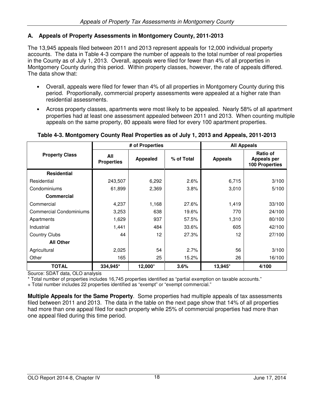# **A. Appeals of Property Assessments in Montgomery County, 2011-2013**

The 13,945 appeals filed between 2011 and 2013 represent appeals for 12,000 individual property accounts. The data in Table 4-3 compare the number of appeals to the total number of real properties in the County as of July 1, 2013. Overall, appeals were filed for fewer than 4% of all properties in Montgomery County during this period. Within property classes, however, the rate of appeals differed. The data show that:

- Overall, appeals were filed for fewer than 4% of all properties in Montgomery County during this period. Proportionally, commercial property assessments were appealed at a higher rate than residential assessments.
- Across property classes, apartments were most likely to be appealed. Nearly 58% of all apartment properties had at least one assessment appealed between 2011 and 2013. When counting multiple appeals on the same property, 80 appeals were filed for every 100 apartment properties.

|                                | # of Properties          |                   |            | <b>All Appeals</b> |                                                         |
|--------------------------------|--------------------------|-------------------|------------|--------------------|---------------------------------------------------------|
| <b>Property Class</b>          | All<br><b>Properties</b> | <b>Appealed</b>   | % of Total | <b>Appeals</b>     | Ratio of<br><b>Appeals per</b><br><b>100 Properties</b> |
| <b>Residential</b>             |                          |                   |            |                    |                                                         |
| Residential                    | 243,507                  | 6,292             | 2.6%       | 6,715              | 3/100                                                   |
| Condominiums                   | 61,899                   | 2,369             | 3.8%       | 3,010              | 5/100                                                   |
| <b>Commercial</b>              |                          |                   |            |                    |                                                         |
| Commercial                     | 4,237                    | 1,168             | 27.6%      | 1,419              | 33/100                                                  |
| <b>Commercial Condominiums</b> | 3,253                    | 638               | 19.6%      | 770                | 24/100                                                  |
| Apartments                     | 1,629                    | 937               | 57.5%      | 1,310              | 80/100                                                  |
| Industrial                     | 1,441                    | 484               | 33.6%      | 605                | 42/100                                                  |
| <b>Country Clubs</b>           | 44                       | $12 \overline{ }$ | 27.3%      | 12                 | 27/100                                                  |
| <b>All Other</b>               |                          |                   |            |                    |                                                         |
| Agricultural                   | 2,025                    | 54                | 2.7%       | 56                 | 3/100                                                   |
| Other                          | 165                      | 25                | 15.2%      | 26                 | 16/100                                                  |
| <b>TOTAL</b>                   | 334,945*                 | 12,000+           | 3.6%       | 13,945+            | 4/100                                                   |

# **Table 4-3. Montgomery County Real Properties as of July 1, 2013 and Appeals, 2011-2013**

Source: SDAT data, OLO analysis

\* Total number of properties includes 16,745 properties identified as "partial exemption on taxable accounts."

+ Total number includes 22 properties identified as "exempt" or "exempt commercial."

**Multiple Appeals for the Same Property**. Some properties had multiple appeals of tax assessments filed between 2011 and 2013. The data in the table on the next page show that 14% of all properties had more than one appeal filed for each property while 25% of commercial properties had more than one appeal filed during this time period.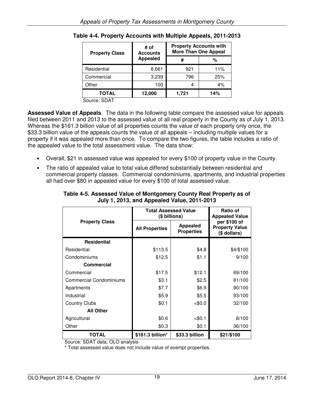| <b>Property Class</b> | # of<br><b>Accounts</b> | <b>Property Accounts with</b><br><b>More Than One Appeal</b> |     |  |
|-----------------------|-------------------------|--------------------------------------------------------------|-----|--|
|                       | <b>Appealed</b>         | #                                                            | %   |  |
| Residential           | 8,661                   | 921                                                          | 11% |  |
| Commercial            | 3,239                   | 796                                                          | 25% |  |
| Other                 | 100                     |                                                              | 4%  |  |
| <b>TOTAL</b>          | 12,000                  | 1,721                                                        | 14% |  |

**Table 4-4. Property Accounts with Multiple Appeals, 2011-2013** 

Source: SDAT

**Assessed Value of Appeals**. The data in the following table compare the assessed value for appeals filed between 2011 and 2013 to the assessed value of all real property in the County as of July 1, 2013. Whereas the \$161.3 billion value of all properties counts the value of each property only once, the \$33.3 billion value of the appeals counts the value of all appeals – including multiple values for a property if it was appealed more than once. To compare the two figures, the table includes a ratio of the appealed value to the total assessment value. The data show:

- Overall, \$21 in assessed value was appealed for every \$100 of property value in the County.
- The ratio of appealed value to total value differed substantially between residential and commercial property classes. Commercial condominiums, apartments, and industrial properties all had over \$80 in appealed value for every \$100 of total assessed value.

|                                | <b>Total Assessed Value</b><br>(\$ billions) | <b>Ratio of</b><br><b>Appealed Value</b> |                                                       |  |
|--------------------------------|----------------------------------------------|------------------------------------------|-------------------------------------------------------|--|
| <b>Property Class</b>          | <b>All Properties</b>                        | Appealed<br><b>Properties</b>            | per \$100 of<br><b>Property Value</b><br>(\$ dollars) |  |
| <b>Residential</b>             |                                              |                                          |                                                       |  |
| Residential                    | \$113.5                                      | \$4.8                                    | \$4/\$100                                             |  |
| Condominiums                   | \$12.5                                       | \$1.1                                    | 9/100                                                 |  |
| Commercial                     |                                              |                                          |                                                       |  |
| Commercial                     | \$17.5                                       | \$12.1                                   | 69/100                                                |  |
| <b>Commercial Condominiums</b> | \$3.1                                        | \$2.5                                    | 81/100                                                |  |
| Apartments                     | \$7.7                                        | \$6.9                                    | 90/100                                                |  |
| Industrial                     | \$5.9                                        | \$5.5                                    | 93/100                                                |  |
| <b>Country Clubs</b>           | \$0.1                                        | < \$0.0                                  | 32/100                                                |  |
| <b>All Other</b>               |                                              |                                          |                                                       |  |
| Agricultural                   | \$0.6                                        | < 0.1                                    | 8/100                                                 |  |
| Other                          | \$0.3                                        | \$0.1                                    | 36/100                                                |  |
| <b>TOTAL</b>                   | \$161.3 billion*                             | \$33.3 billion                           | \$21/\$100                                            |  |

## **Table 4-5. Assessed Value of Montgomery County Real Property as of July 1, 2013, and Appealed Value, 2011-2013**

Source: SDAT data, OLO analysis

\* Total assessed value does not include value of exempt properties.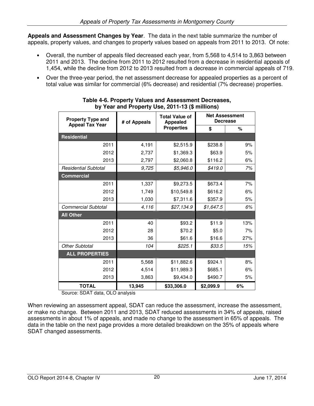**Appeals and Assessment Changes by Year**. The data in the next table summarize the number of appeals, property values, and changes to property values based on appeals from 2011 to 2013. Of note:

- Overall, the number of appeals filed decreased each year, from 5,568 to 4,514 to 3,863 between 2011 and 2013. The decline from 2011 to 2012 resulted from a decrease in residential appeals of 1,454, while the decline from 2012 to 2013 resulted from a decrease in commercial appeals of 719.
- Over the three-year period, the net assessment decrease for appealed properties as a percent of total value was similar for commercial (6% decrease) and residential (7% decrease) properties.

| <b>Property Type and</b>    | # of Appeals | <b>Total Value of</b><br><b>Appealed</b> |           | <b>Net Assessment</b><br><b>Decrease</b> |  |
|-----------------------------|--------------|------------------------------------------|-----------|------------------------------------------|--|
| <b>Appeal Tax Year</b>      |              | <b>Properties</b>                        |           | %                                        |  |
| <b>Residential</b>          |              |                                          |           |                                          |  |
| 2011                        | 4,191        | \$2,515.9                                | \$238.8   | 9%                                       |  |
| 2012                        | 2,737        | \$1,369.3                                | \$63.9    | 5%                                       |  |
| 2013                        | 2,797        | \$2,060.8                                | \$116.2   | 6%                                       |  |
| <b>Residential Subtotal</b> | 9,725        | \$5,946.0                                | \$419.0   | 7%                                       |  |
| <b>Commercial</b>           |              |                                          |           |                                          |  |
| 2011                        | 1,337        | \$9,273.5                                | \$673.4   | 7%                                       |  |
| 2012                        | 1,749        | \$10,549.8                               | \$616.2   | 6%                                       |  |
| 2013                        | 1,030        | \$7,311.6                                | \$357.9   | 5%                                       |  |
| <b>Commercial Subtotal</b>  | 4,116        | \$27,134.9                               | \$1,647.5 | 6%                                       |  |
| <b>All Other</b>            |              |                                          |           |                                          |  |
| 2011                        | 40           | \$93.2                                   | \$11.9    | 13%                                      |  |
| 2012                        | 28           | \$70.2                                   | \$5.0     | 7%                                       |  |
| 2013                        | 36           | \$61.6                                   | \$16.6    | 27%                                      |  |
| <b>Other Subtotal</b>       | 104          | \$225.1                                  | \$33.5    | 15%                                      |  |
| <b>ALL PROPERTIES</b>       |              |                                          |           |                                          |  |
| 2011                        | 5,568        | \$11,882.6                               | \$924.1   | 8%                                       |  |
| 2012                        | 4,514        | \$11,989.3                               | \$685.1   | 6%                                       |  |
| 2013                        | 3,863        | \$9,434.0                                | \$490.7   | 5%                                       |  |
| TOTAL                       | 13,945       | \$33,306.0                               | \$2,099.9 | 6%                                       |  |

#### **Table 4-6. Property Values and Assessment Decreases, by Year and Property Use, 2011-13 (\$ millions)**

Source: SDAT data, OLO analysis

When reviewing an assessment appeal, SDAT can reduce the assessment, increase the assessment, or make no change. Between 2011 and 2013, SDAT reduced assessments in 34% of appeals, raised assessments in about 1% of appeals, and made no change to the assessment in 65% of appeals. The data in the table on the next page provides a more detailed breakdown on the 35% of appeals where SDAT changed assessments.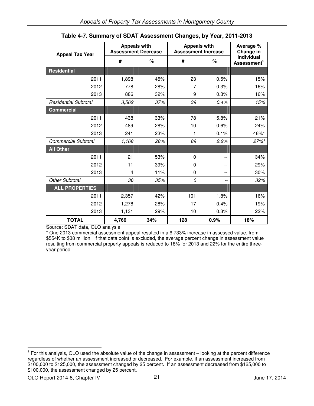| <b>Appeal Tax Year</b>      | <b>Appeals with</b><br><b>Assessment Decrease</b> |     | <b>Appeals with</b><br><b>Assessment Increase</b> |      | Average %<br>Change in                |
|-----------------------------|---------------------------------------------------|-----|---------------------------------------------------|------|---------------------------------------|
|                             | #                                                 | %   | #                                                 | %    | Individual<br>Assessment <sup>2</sup> |
| <b>Residential</b>          |                                                   |     |                                                   |      |                                       |
| 2011                        | 1,898                                             | 45% | 23                                                | 0.5% | 15%                                   |
| 2012                        | 778                                               | 28% | 7                                                 | 0.3% | 16%                                   |
| 2013                        | 886                                               | 32% | 9                                                 | 0.3% | 16%                                   |
| <b>Residential Subtotal</b> | 3,562                                             | 37% | 39                                                | 0.4% | 15%                                   |
| <b>Commercial</b>           |                                                   |     |                                                   |      |                                       |
| 2011                        | 438                                               | 33% | 78                                                | 5.8% | 21%                                   |
| 2012                        | 489                                               | 28% | 10                                                | 0.6% | 24%                                   |
| 2013                        | 241                                               | 23% | 1                                                 | 0.1% | 46%*                                  |
| <b>Commercial Subtotal</b>  | 1,168                                             | 28% | 89                                                | 2.2% | 27%*                                  |
| <b>All Other</b>            |                                                   |     |                                                   |      |                                       |
| 2011                        | 21                                                | 53% | 0                                                 | --   | 34%                                   |
| 2012                        | 11                                                | 39% | 0                                                 | --   | 29%                                   |
| 2013                        | 4                                                 | 11% | 0                                                 | --   | 30%                                   |
| <b>Other Subtotal</b>       | 36                                                | 35% | 0                                                 | --   | 32%                                   |
| <b>ALL PROPERTIES</b>       |                                                   |     |                                                   |      |                                       |
| 2011                        | 2,357                                             | 42% | 101                                               | 1.8% | 16%                                   |
| 2012                        | 1,278                                             | 28% | 17                                                | 0.4% | 19%                                   |
| 2013                        | 1,131                                             | 29% | 10                                                | 0.3% | 22%                                   |
| <b>TOTAL</b>                | 4,766                                             | 34% | 128                                               | 0.9% | 18%                                   |

**Table 4-7. Summary of SDAT Assessment Changes, by Year, 2011-2013**

Source: SDAT data, OLO analysis

\* One 2013 commercial assessment appeal resulted in a 6,733% increase in assessed value, from \$554K to \$38 million. If that data point is excluded, the average percent change in assessment value resulting from commercial property appeals is reduced to 18% for 2013 and 22% for the entire threeyear period.

 $2$  For this analysis, OLO used the absolute value of the change in assessment – looking at the percent difference regardless of whether an assessment increased or decreased. For example, if an assessment increased from \$100,000 to \$125,000, the assessment changed by 25 percent. If an assessment decreased from \$125,000 to \$100,000, the assessment changed by 25 percent.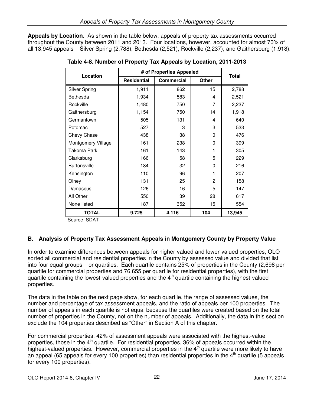**Appeals by Location**. As shown in the table below, appeals of property tax assessments occurred throughout the County between 2011 and 2013. Four locations, however, accounted for almost 70% of all 13,945 appeals – Silver Spring (2,788), Bethesda (2,521), Rockville (2,237), and Gaithersburg (1,918).

| Location             | # of Properties Appealed | <b>Total</b>      |                |        |
|----------------------|--------------------------|-------------------|----------------|--------|
|                      | <b>Residential</b>       | <b>Commercial</b> | <b>Other</b>   |        |
| <b>Silver Spring</b> | 1,911                    | 862               | 15             | 2,788  |
| <b>Bethesda</b>      | 1,934                    | 583               | 4              | 2,521  |
| Rockville            | 1,480                    | 750               | 7              | 2,237  |
| Gaithersburg         | 1,154                    | 750               | 14             | 1,918  |
| Germantown           | 505                      | 131               | 4              | 640    |
| Potomac              | 527                      | 3                 | 3              | 533    |
| Chevy Chase          | 438                      | 38                | 0              | 476    |
| Montgomery Village   | 161                      | 238               | 0              | 399    |
| Takoma Park          | 161                      | 143               | 1              | 305    |
| Clarksburg           | 166                      | 58                | 5              | 229    |
| <b>Burtonsville</b>  | 184                      | 32                | 0              | 216    |
| Kensington           | 110                      | 96                | 1              | 207    |
| Olney                | 131                      | 25                | $\overline{2}$ | 158    |
| Damascus             | 126                      | 16                | 5              | 147    |
| All Other            | 550                      | 39                | 28             | 617    |
| None listed          | 187                      | 352               | 15             | 554    |
| <b>TOTAL</b>         | 9,725                    | 4,116             | 104            | 13,945 |

|  | Table 4-8. Number of Property Tax Appeals by Location, 2011-2013 |  |  |  |
|--|------------------------------------------------------------------|--|--|--|
|  |                                                                  |  |  |  |

Source: SDAT

# **B. Analysis of Property Tax Assessment Appeals in Montgomery County by Property Value**

In order to examine differences between appeals for higher-valued and lower-valued properties, OLO sorted all commercial and residential properties in the County by assessed value and divided that list into four equal groups – or quartiles. Each quartile contains 25% of properties in the County (2,698 per quartile for commercial properties and 76,655 per quartile for residential properties), with the first quartile containing the lowest-valued properties and the  $4<sup>th</sup>$  quartile containing the highest-valued properties.

The data in the table on the next page show, for each quartile, the range of assessed values, the number and percentage of tax assessment appeals, and the ratio of appeals per 100 properties. The number of appeals in each quartile is not equal because the quartiles were created based on the total number of properties in the County, not on the number of appeals. Additionally, the data in this section exclude the 104 properties described as "Other" in Section A of this chapter.

For commercial properties, 42% of assessment appeals were associated with the highest-value properties, those in the  $4<sup>th</sup>$  quartile. For residential properties, 36% of appeals occurred within the highest-valued properties. However, commercial properties in the  $4<sup>th</sup>$  quartile were more likely to have an appeal (65 appeals for every 100 properties) than residential properties in the  $4<sup>th</sup>$  quartile (5 appeals for every 100 properties).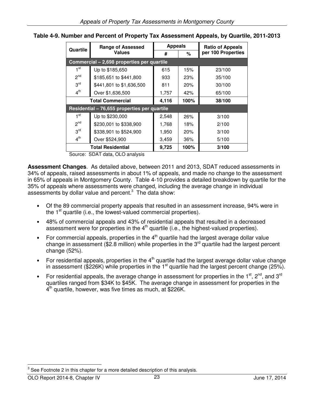| Quartile        | <b>Range of Assessed</b>                     | <b>Appeals</b> |      | <b>Ratio of Appeals</b> |  |
|-----------------|----------------------------------------------|----------------|------|-------------------------|--|
|                 | <b>Values</b>                                | #<br>%         |      | per 100 Properties      |  |
|                 | Commercial - 2,698 properties per quartile   |                |      |                         |  |
| 1 <sup>st</sup> | Up to \$185,650                              | 615            | 15%  | 23/100                  |  |
| 2 <sup>nd</sup> | \$185,651 to \$441,800                       | 933            | 23%  | 35/100                  |  |
| 3 <sup>rd</sup> | \$441,801 to \$1,636,500                     | 811            | 20%  | 30/100                  |  |
| 4 <sup>th</sup> | Over \$1,636,500                             | 1,757          | 42%  | 65/100                  |  |
|                 | <b>Total Commercial</b>                      |                | 100% | 38/100                  |  |
|                 | Residential - 76,655 properties per quartile |                |      |                         |  |
| 1 <sup>st</sup> | Up to \$230,000                              | 2,548          | 26%  | 3/100                   |  |
| 2 <sup>nd</sup> | \$230,001 to \$338,900                       | 1,768          | 18%  | 2/100                   |  |
| 3 <sup>rd</sup> | \$338,901 to \$524,900                       | 1,950          | 20%  | 3/100                   |  |
| 4 <sup>th</sup> | Over \$524,900                               | 3,459          | 36%  | 5/100                   |  |
|                 | <b>Total Residential</b>                     | 9,725          | 100% | 3/100                   |  |

**Table 4-9. Number and Percent of Property Tax Assessment Appeals, by Quartile, 2011-2013** 

Source: SDAT data, OLO analysis

**Assessment Changes**. As detailed above, between 2011 and 2013, SDAT reduced assessments in 34% of appeals, raised assessments in about 1% of appeals, and made no change to the assessment in 65% of appeals in Montgomery County. Table 4-10 provides a detailed breakdown by quartile for the 35% of appeals where assessments were changed, including the average change in individual assessments by dollar value and percent. $3$  The data show:

- Of the 89 commercial property appeals that resulted in an assessment increase, 94% were in the  $1<sup>st</sup>$  quartile (i.e., the lowest-valued commercial properties).
- 48% of commercial appeals and 43% of residential appeals that resulted in a decreased assessment were for properties in the  $4<sup>th</sup>$  quartile (i.e., the highest-valued properties).
- For commercial appeals, properties in the  $4<sup>th</sup>$  quartile had the largest average dollar value change in assessment (\$2.8 million) while properties in the  $3<sup>rd</sup>$  quartile had the largest percent change (52%).
- For residential appeals, properties in the  $4<sup>th</sup>$  quartile had the largest average dollar value change in assessment (\$226K) while properties in the 1st quartile had the largest percent change (25%).
- For residential appeals, the average change in assessment for properties in the  $1<sup>st</sup>$ ,  $2<sup>nd</sup>$ , and  $3<sup>rd</sup>$ quartiles ranged from \$34K to \$45K. The average change in assessment for properties in the 4<sup>th</sup> quartile, however, was five times as much, at \$226K.

 $3$  See Footnote 2 in this chapter for a more detailed description of this analysis.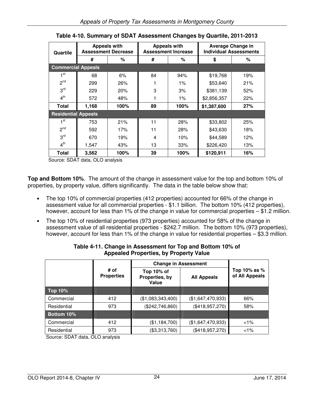| Quartile                   |       | <b>Appeals with</b><br><b>Assessment Decrease</b> | <b>Appeals with</b><br><b>Assessment Increase</b> |       | <b>Average Change in</b><br><b>Individual Assessments</b> |     |
|----------------------------|-------|---------------------------------------------------|---------------------------------------------------|-------|-----------------------------------------------------------|-----|
|                            | #     | %                                                 | #                                                 | %     | \$                                                        | %   |
| <b>Commercial Appeals</b>  |       |                                                   |                                                   |       |                                                           |     |
| ⊣ st                       | 68    | 6%                                                | 84                                                | 94%   | \$19,768                                                  | 19% |
| 2 <sup>nd</sup>            | 299   | 26%                                               |                                                   | $1\%$ | \$53,640                                                  | 21% |
| 3 <sup>rd</sup>            | 229   | 20%                                               | 3                                                 | 3%    | \$381,139                                                 | 52% |
| 4 <sup>th</sup>            | 572   | 48%                                               |                                                   | 1%    | \$2,856,357                                               | 22% |
| Total                      | 1,168 | 100%                                              | 89                                                | 100%  | \$1,387,600                                               | 27% |
| <b>Residential Appeals</b> |       |                                                   |                                                   |       |                                                           |     |
| 1 <sup>st</sup>            | 753   | 21%                                               | 11                                                | 28%   | \$33,802                                                  | 25% |
| 2 <sup>nd</sup>            | 592   | 17%                                               | 11                                                | 28%   | \$43,630                                                  | 18% |
| 3 <sup>rd</sup>            | 670   | 19%                                               | 4                                                 | 10%   | \$44,589                                                  | 12% |
| 4 <sup>th</sup>            | 1,547 | 43%                                               | 13                                                | 33%   | \$226,420                                                 | 13% |
| Total                      | 3,562 | 100%                                              | 39                                                | 100%  | \$120,911                                                 | 16% |

|  | Table 4-10. Summary of SDAT Assessment Changes by Quartile, 2011-2013 |
|--|-----------------------------------------------------------------------|
|--|-----------------------------------------------------------------------|

Source: SDAT data, OLO analysis

**Top and Bottom 10%**. The amount of the change in assessment value for the top and bottom 10% of properties, by property value, differs significantly. The data in the table below show that:

- The top 10% of commercial properties (412 properties) accounted for 66% of the change in assessment value for all commercial properties - \$1.1 billion. The bottom 10% (412 properties), however, account for less than 1% of the change in value for commercial properties – \$1.2 million.
- The top 10% of residential properties (973 properties) accounted for 58% of the change in assessment value of all residential properties - \$242.7 million. The bottom 10% (973 properties), however, account for less than 1% of the change in value for residential properties – \$3.3 million.

| Value         | <b>All Appeals</b>                                                   | Top 10% as %<br>of All Appeals |
|---------------|----------------------------------------------------------------------|--------------------------------|
|               |                                                                      |                                |
|               | (\$1,647,470,933)                                                    | 66%                            |
|               | (\$418,957,270)                                                      | 58%                            |
|               |                                                                      |                                |
| (\$1,184,700) | (\$1,647,470,933)                                                    | $1\%$                          |
| (\$3,313,760) | (\$418,957,270)                                                      | $1\%$                          |
|               | Top 10% of<br>Properties, by<br>(\$1,083,343,400)<br>(\$242,746,860) | <b>Change in Assessment</b>    |

## **Table 4-11. Change in Assessment for Top and Bottom 10% of Appealed Properties, by Property Value**

Source: SDAT data, OLO analysis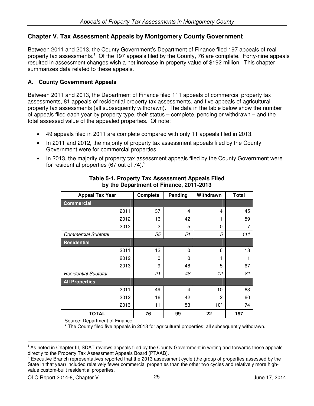# **Chapter V. Tax Assessment Appeals by Montgomery County Government**

Between 2011 and 2013, the County Government's Department of Finance filed 197 appeals of real property tax assessments.<sup>1</sup> Of the 197 appeals filed by the County, 76 are complete. Forty-nine appeals resulted in assessment changes wish a net increase in property value of \$192 million. This chapter summarizes data related to these appeals.

# **A. County Government Appeals**

Between 2011 and 2013, the Department of Finance filed 111 appeals of commercial property tax assessments, 81 appeals of residential property tax assessments, and five appeals of agricultural property tax assessments (all subsequently withdrawn). The data in the table below show the number of appeals filed each year by property type, their status – complete, pending or withdrawn – and the total assessed value of the appealed properties. Of note:

- 49 appeals filed in 2011 are complete compared with only 11 appeals filed in 2013.
- In 2011 and 2012, the majority of property tax assessment appeals filed by the County Government were for commercial properties.
- In 2013, the majority of property tax assessment appeals filed by the County Government were for residential properties (67 out of  $74$ ).<sup>2</sup>

| <b>Appeal Tax Year</b>      | Complete | Pending | Withdrawn | <b>Total</b> |
|-----------------------------|----------|---------|-----------|--------------|
| <b>Commercial</b>           |          |         |           |              |
| 2011                        | 37       | 4       | 4         | 45           |
| 2012                        | 16       | 42      |           | 59           |
| 2013                        | 2        | 5       | 0         | 7            |
| <b>Commercial Subtotal</b>  | 55       | 51      | 5         | 111          |
| <b>Residential</b>          |          |         |           |              |
| 2011                        | 12       | 0       | 6         | 18           |
| 2012                        | 0        | 0       | 1         |              |
| 2013                        | 9        | 48      | 5         | 67           |
| <b>Residential Subtotal</b> | 21       | 48      | 12        | 81           |
| <b>All Properties</b>       |          |         |           |              |
| 2011                        | 49       | 4       | 10        | 63           |
| 2012                        | 16       | 42      | 2         | 60           |
| 2013                        | 11       | 53      | $10^*$    | 74           |
| <b>TOTAL</b>                | 76       | 99      | 22        | 197          |

#### **Table 5-1. Property Tax Assessment Appeals Filed by the Department of Finance, 2011-2013**

Source: Department of Finance

\* The County filed five appeals in 2013 for agricultural properties; all subsequently withdrawn.

 $<sup>1</sup>$  As noted in Chapter III, SDAT reviews appeals filed by the County Government in writing and forwards those appeals</sup> directly to the Property Tax Assessment Appeals Board (PTAAB).

<sup>2</sup> Executive Branch representatives reported that the 2013 assessment cycle (the group of properties assessed by the State in that year) included relatively fewer commercial properties than the other two cycles and relatively more highvalue custom-built residential properties.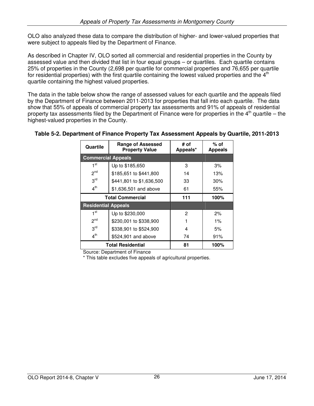OLO also analyzed these data to compare the distribution of higher- and lower-valued properties that were subject to appeals filed by the Department of Finance.

As described in Chapter IV, OLO sorted all commercial and residential properties in the County by assessed value and then divided that list in four equal groups – or quartiles. Each quartile contains 25% of properties in the County (2,698 per quartile for commercial properties and 76,655 per quartile for residential properties) with the first quartile containing the lowest valued properties and the  $4<sup>th</sup>$ quartile containing the highest valued properties.

The data in the table below show the range of assessed values for each quartile and the appeals filed by the Department of Finance between 2011-2013 for properties that fall into each quartile. The data show that 55% of appeals of commercial property tax assessments and 91% of appeals of residential property tax assessments filed by the Department of Finance were for properties in the  $4<sup>th</sup>$  quartile – the highest-valued properties in the County.

| Quartile                   | <b>Range of Assessed</b><br><b>Property Value</b> | # of<br>Appeals* | $%$ of<br><b>Appeals</b> |
|----------------------------|---------------------------------------------------|------------------|--------------------------|
|                            | <b>Commercial Appeals</b>                         |                  |                          |
| 1 <sup>st</sup>            | Up to \$185,650                                   | 3                | 3%                       |
| $2^{nd}$                   | \$185,651 to \$441,800                            | 14               | 13%                      |
| 3 <sup>rd</sup>            | \$441,801 to \$1,636,500                          | 33               | 30%                      |
| 4 <sup>th</sup>            | \$1,636,501 and above                             | 61               | 55%                      |
|                            | <b>Total Commercial</b>                           | 111              | 100%                     |
| <b>Residential Appeals</b> |                                                   |                  |                          |
| 1 <sup>st</sup>            | Up to \$230,000                                   | 2                | 2%                       |
| 2 <sup>nd</sup>            | \$230,001 to \$338,900                            |                  | $1\%$                    |
| 3 <sup>rd</sup>            | \$338,901 to \$524,900                            | 4                | 5%                       |
| 4 <sup>th</sup>            | \$524,901 and above                               | 74               | 91%                      |
|                            | <b>Total Residential</b>                          | 81               | 100%                     |

# **Table 5-2. Department of Finance Property Tax Assessment Appeals by Quartile, 2011-2013**

Source: Department of Finance

\* This table excludes five appeals of agricultural properties.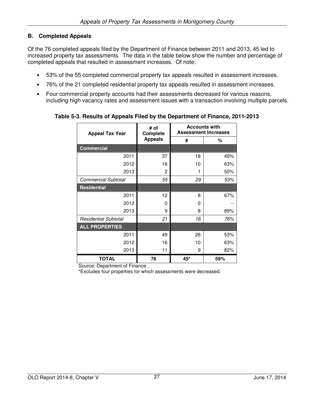# **B. Completed Appeals**

Of the 76 completed appeals filed by the Department of Finance between 2011 and 2013, 45 led to increased property tax assessments. The data in the table below show the number and percentage of completed appeals that resulted in assessment increases. Of note:

- 53% of the 55 completed commercial property tax appeals resulted in assessment increases.
- 76% of the 21 completed residential property tax appeals resulted in assessment increases.
- Four commercial property accounts had their assessments decreased for various reasons, including high vacancy rates and assessment issues with a transaction involving multiple parcels.

| <b>Appeal Tax Year</b>      | # of<br><b>Complete</b> |     | <b>Accounts with</b><br><b>Assessment Increases</b> |
|-----------------------------|-------------------------|-----|-----------------------------------------------------|
|                             | <b>Appeals</b>          | #   | %                                                   |
| <b>Commercial</b>           |                         |     |                                                     |
| 2011                        | 37                      | 18  | 49%                                                 |
| 2012                        | 16                      | 10  | 63%                                                 |
| 2013                        | 2                       |     | 50%                                                 |
| <b>Commercial Subtotal</b>  | 55                      | 29  | 53%                                                 |
| <b>Residential</b>          |                         |     |                                                     |
| 2011                        | 12                      | 8   | 67%                                                 |
| 2012                        | 0                       | 0   |                                                     |
| 2013                        | 9                       | 8   | 89%                                                 |
| <b>Residential Subtotal</b> | 21                      | 16  | 76%                                                 |
| <b>ALL PROPERTIES</b>       |                         |     |                                                     |
| 2011                        | 49                      | 26  | 53%                                                 |
| 2012                        | 16                      | 10  | 63%                                                 |
| 2013                        | 11                      | 9   | 82%                                                 |
| <b>TOTAL</b>                | 76                      | 45* | 59%                                                 |

**Table 5-3. Results of Appeals Filed by the Department of Finance, 2011-2013** 

Source: Department of Finance

\*Excludes four properties for which assessments were decreased.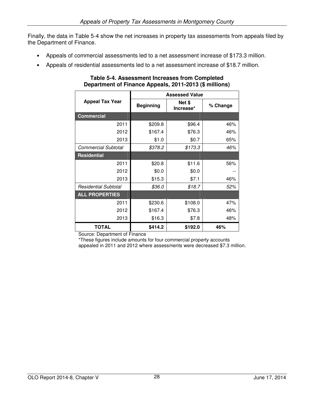Finally, the data in Table 5-4 show the net increases in property tax assessments from appeals filed by the Department of Finance.

- Appeals of commercial assessments led to a net assessment increase of \$173.3 million.
- Appeals of residential assessments led to a net assessment increase of \$18.7 million.

|                             |                  | <b>Assessed Value</b> |     |
|-----------------------------|------------------|-----------------------|-----|
| <b>Appeal Tax Year</b>      | <b>Beginning</b> | Net \$<br>Increase*   |     |
| <b>Commercial</b>           |                  |                       |     |
| 2011                        | \$209.8          | \$96.4                | 46% |
| 2012                        | \$167.4          | \$76.3                | 46% |
| 2013                        | \$1.0            | \$0.7                 | 65% |
| <b>Commercial Subtotal</b>  | \$378.2          | \$173.3               | 46% |
| <b>Residential</b>          |                  |                       |     |
| 2011                        | \$20.8           | \$11.6                | 56% |
| 2012                        | \$0.0            | \$0.0                 |     |
| 2013                        | \$15.3           | \$7.1                 | 46% |
| <b>Residential Subtotal</b> | \$36.0           | \$18.7                | 52% |
| <b>ALL PROPERTIES</b>       |                  |                       |     |
| 2011                        | \$230.6          | \$108.0               | 47% |
| 2012                        | \$167.4          | \$76.3                | 46% |
| 2013                        | \$16.3           | \$7.8                 | 48% |
| <b>TOTAL</b>                | \$414.2          | \$192.0               | 46% |

### **Table 5-4. Assessment Increases from Completed Department of Finance Appeals, 2011-2013 (\$ millions)**

Source: Department of Finance

\*These figures include amounts for four commercial property accounts

appealed in 2011 and 2012 where assessments were decreased \$7.3 million.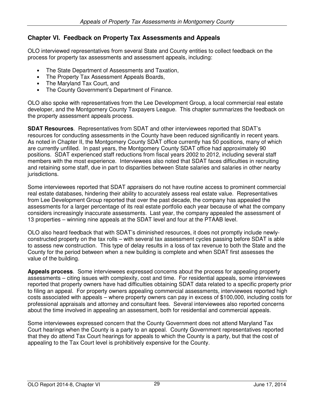# **Chapter VI. Feedback on Property Tax Assessments and Appeals**

OLO interviewed representatives from several State and County entities to collect feedback on the process for property tax assessments and assessment appeals, including:

- The State Department of Assessments and Taxation,
- The Property Tax Assessment Appeals Boards,
- The Maryland Tax Court, and
- The County Government's Department of Finance.

OLO also spoke with representatives from the Lee Development Group, a local commercial real estate developer, and the Montgomery County Taxpayers League. This chapter summarizes the feedback on the property assessment appeals process.

**SDAT Resources**. Representatives from SDAT and other interviewees reported that SDAT's resources for conducting assessments in the County have been reduced significantly in recent years. As noted in Chapter II, the Montgomery County SDAT office currently has 50 positions, many of which are currently unfilled. In past years, the Montgomery County SDAT office had approximately 90 positions. SDAT experienced staff reductions from fiscal years 2002 to 2012, including several staff members with the most experience. Interviewees also noted that SDAT faces difficulties in recruiting and retaining some staff, due in part to disparities between State salaries and salaries in other nearby jurisdictions.

Some interviewees reported that SDAT appraisers do not have routine access to prominent commercial real estate databases, hindering their ability to accurately assess real estate value. Representatives from Lee Development Group reported that over the past decade, the company has appealed the assessments for a larger percentage of its real estate portfolio each year because of what the company considers increasingly inaccurate assessments. Last year, the company appealed the assessment of 13 properties – winning nine appeals at the SDAT level and four at the PTAAB level.

OLO also heard feedback that with SDAT's diminished resources, it does not promptly include newlyconstructed property on the tax rolls – with several tax assessment cycles passing before SDAT is able to assess new construction. This type of delay results in a loss of tax revenue to both the State and the County for the period between when a new building is complete and when SDAT first assesses the value of the building.

**Appeals process**. Some interviewees expressed concerns about the process for appealing property assessments – citing issues with complexity, cost and time. For residential appeals, some interviewees reported that property owners have had difficulties obtaining SDAT data related to a specific property prior to filing an appeal. For property owners appealing commercial assessments, interviewees reported high costs associated with appeals – where property owners can pay in excess of \$100,000, including costs for professional appraisals and attorney and consultant fees. Several interviewees also reported concerns about the time involved in appealing an assessment, both for residential and commercial appeals.

Some interviewees expressed concern that the County Government does not attend Maryland Tax Court hearings when the County is a party to an appeal. County Government representatives reported that they do attend Tax Court hearings for appeals to which the County is a party, but that the cost of appealing to the Tax Court level is prohibitively expensive for the County.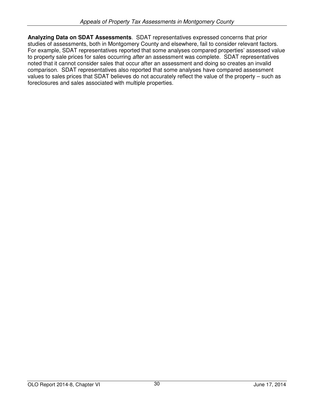**Analyzing Data on SDAT Assessments**. SDAT representatives expressed concerns that prior studies of assessments, both in Montgomery County and elsewhere, fail to consider relevant factors. For example, SDAT representatives reported that some analyses compared properties' assessed value to property sale prices for sales occurring after an assessment was complete. SDAT representatives noted that it cannot consider sales that occur after an assessment and doing so creates an invalid comparison. SDAT representatives also reported that some analyses have compared assessment values to sales prices that SDAT believes do not accurately reflect the value of the property – such as foreclosures and sales associated with multiple properties.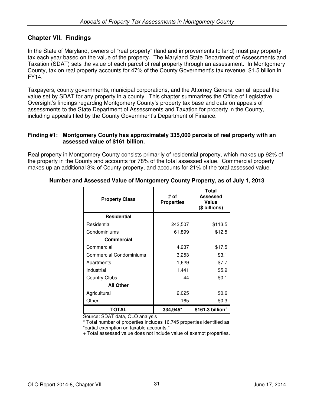# **Chapter VII. Findings**

In the State of Maryland, owners of "real property" (land and improvements to land) must pay property tax each year based on the value of the property. The Maryland State Department of Assessments and Taxation (SDAT) sets the value of each parcel of real property through an assessment. In Montgomery County, tax on real property accounts for 47% of the County Government's tax revenue, \$1.5 billion in FY14.

Taxpayers, county governments, municipal corporations, and the Attorney General can all appeal the value set by SDAT for any property in a county. This chapter summarizes the Office of Legislative Oversight's findings regarding Montgomery County's property tax base and data on appeals of assessments to the State Department of Assessments and Taxation for property in the County, including appeals filed by the County Government's Department of Finance.

#### **Finding #1: Montgomery County has approximately 335,000 parcels of real property with an assessed value of \$161 billion.**

Real property in Montgomery County consists primarily of residential property, which makes up 92% of the property in the County and accounts for 78% of the total assessed value. Commercial property makes up an additional 3% of County property, and accounts for 21% of the total assessed value.

| <b>Property Class</b>          | # of<br><b>Properties</b> | <b>Total</b><br>Assessed<br>Value<br>(\$ billions) |
|--------------------------------|---------------------------|----------------------------------------------------|
| <b>Residential</b>             |                           |                                                    |
| Residential                    | 243,507                   | \$113.5                                            |
| Condominiums                   | 61,899                    | \$12.5                                             |
| <b>Commercial</b>              |                           |                                                    |
| Commercial                     | 4,237                     | \$17.5                                             |
| <b>Commercial Condominiums</b> | 3,253                     | \$3.1                                              |
| Apartments                     | 1,629                     | \$7.7                                              |
| Industrial                     | 1,441                     | \$5.9                                              |
| <b>Country Clubs</b>           | 44                        | \$0.1                                              |
| <b>All Other</b>               |                           |                                                    |
| Agricultural                   | 2,025                     | \$0.6                                              |
| Other                          | 165                       | \$0.3                                              |
| <b>TOTAL</b>                   | 334,945*                  | \$161.3 billion <sup>+</sup>                       |

## **Number and Assessed Value of Montgomery County Property, as of July 1, 2013**

Source: SDAT data, OLO analysis

\* Total number of properties includes 16,745 properties identified as "partial exemption on taxable accounts."

+ Total assessed value does not include value of exempt properties.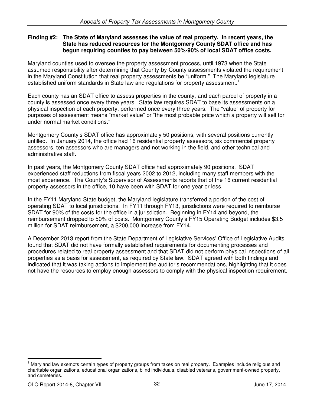## **Finding #2: The State of Maryland assesses the value of real property. In recent years, the State has reduced resources for the Montgomery County SDAT office and has begun requiring counties to pay between 50%-90% of local SDAT office costs.**

Maryland counties used to oversee the property assessment process, until 1973 when the State assumed responsibility after determining that County-by-County assessments violated the requirement in the Maryland Constitution that real property assessments be "uniform." The Maryland legislature established uniform standards in State law and regulations for property assessment.<sup>1</sup>

Each county has an SDAT office to assess properties in the county, and each parcel of property in a county is assessed once every three years. State law requires SDAT to base its assessments on a physical inspection of each property, performed once every three years. The "value" of property for purposes of assessment means "market value" or "the most probable price which a property will sell for under normal market conditions."

Montgomery County's SDAT office has approximately 50 positions, with several positions currently unfilled. In January 2014, the office had 16 residential property assessors, six commercial property assessors, ten assessors who are managers and not working in the field, and other technical and administrative staff.

In past years, the Montgomery County SDAT office had approximately 90 positions. SDAT experienced staff reductions from fiscal years 2002 to 2012, including many staff members with the most experience. The County's Supervisor of Assessments reports that of the 16 current residential property assessors in the office, 10 have been with SDAT for one year or less.

In the FY11 Maryland State budget, the Maryland legislature transferred a portion of the cost of operating SDAT to local jurisdictions. In FY11 through FY13, jurisdictions were required to reimburse SDAT for 90% of the costs for the office in a jurisdiction. Beginning in FY14 and beyond, the reimbursement dropped to 50% of costs. Montgomery County's FY15 Operating Budget includes \$3.5 million for SDAT reimbursement, a \$200,000 increase from FY14.

A December 2013 report from the State Department of Legislative Services' Office of Legislative Audits found that SDAT did not have formally established requirements for documenting processes and procedures related to real property assessment and that SDAT did not perform physical inspections of all properties as a basis for assessment, as required by State law. SDAT agreed with both findings and indicated that it was taking actions to implement the auditor's recommendations, highlighting that it does not have the resources to employ enough assessors to comply with the physical inspection requirement.

<sup>1</sup> Maryland law exempts certain types of property groups from taxes on real property. Examples include religious and charitable organizations, educational organizations, blind individuals, disabled veterans, government-owned property, and cemeteries.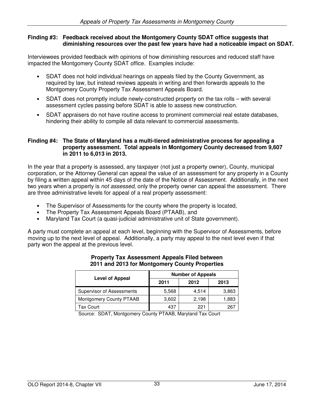#### **Finding #3: Feedback received about the Montgomery County SDAT office suggests that diminishing resources over the past few years have had a noticeable impact on SDAT.**

Interviewees provided feedback with opinions of how diminishing resources and reduced staff have impacted the Montgomery County SDAT office. Examples include:

- SDAT does not hold individual hearings on appeals filed by the County Government, as required by law, but instead reviews appeals in writing and then forwards appeals to the Montgomery County Property Tax Assessment Appeals Board.
- SDAT does not promptly include newly-constructed property on the tax rolls with several assessment cycles passing before SDAT is able to assess new construction.
- SDAT appraisers do not have routine access to prominent commercial real estate databases, hindering their ability to compile all data relevant to commercial assessments.

#### **Finding #4: The State of Maryland has a multi-tiered administrative process for appealing a property assessment. Total appeals in Montgomery County decreased from 9,607 in 2011 to 6,013 in 2013.**

In the year that a property is assessed, any taxpayer (not just a property owner), County, municipal corporation, or the Attorney General can appeal the value of an assessment for any property in a County by filing a written appeal within 45 days of the date of the Notice of Assessment. Additionally, in the next two years when a property is not assessed, only the property owner can appeal the assessment. There are three administrative levels for appeal of a real property assessment:

- The Supervisor of Assessments for the county where the property is located,
- The Property Tax Assessment Appeals Board (PTAAB), and
- Maryland Tax Court (a quasi-judicial administrative unit of State government).

A party must complete an appeal at each level, beginning with the Supervisor of Assessments, before moving up to the next level of appeal. Additionally, a party may appeal to the next level even if that party won the appeal at the previous level.

| <b>Level of Appeal</b>           | <b>Number of Appeals</b> |       |       |  |  |
|----------------------------------|--------------------------|-------|-------|--|--|
|                                  | 2011                     | 2012  | 2013  |  |  |
| <b>Supervisor of Assessments</b> | 5,568                    | 4,514 | 3,863 |  |  |
| Montgomery County PTAAB          | 3,602                    | 2,198 | 1,883 |  |  |
| Tax Court                        | 437                      | 221   | 267   |  |  |

#### **Property Tax Assessment Appeals Filed between 2011 and 2013 for Montgomery County Properties**

Source: SDAT, Montgomery County PTAAB, Maryland Tax Court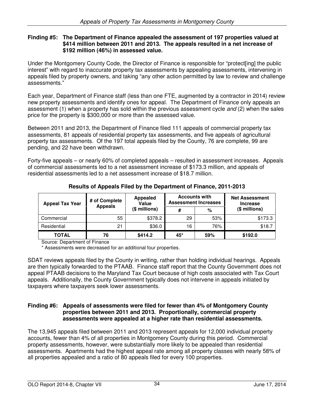### **Finding #5: The Department of Finance appealed the assessment of 197 properties valued at \$414 million between 2011 and 2013. The appeals resulted in a net increase of \$192 million (46%) in assessed value.**

Under the Montgomery County Code, the Director of Finance is responsible for "protect[ing] the public interest" with regard to inaccurate property tax assessments by appealing assessments, intervening in appeals filed by property owners, and taking "any other action permitted by law to review and challenge assessments."

Each year, Department of Finance staff (less than one FTE, augmented by a contractor in 2014) review new property assessments and identify ones for appeal. The Department of Finance only appeals an assessment (1) when a property has sold within the previous assessment cycle and (2) when the sales price for the property is \$300,000 or more than the assessed value.

Between 2011 and 2013, the Department of Finance filed 111 appeals of commercial property tax assessments, 81 appeals of residential property tax assessments, and five appeals of agricultural property tax assessments. Of the 197 total appeals filed by the County, 76 are complete, 99 are pending, and 22 have been withdrawn.

Forty-five appeals – or nearly 60% of completed appeals – resulted in assessment increases. Appeals of commercial assessments led to a net assessment increase of \$173.3 million, and appeals of residential assessments led to a net assessment increase of \$18.7 million.

| <b>Appeal Tax Year</b> | # of Complete  | <b>Appealed</b><br>Value |     | <b>Accounts with</b><br><b>Assessment Increases</b> | <b>Net Assessment</b><br><b>Increase</b> |  |
|------------------------|----------------|--------------------------|-----|-----------------------------------------------------|------------------------------------------|--|
|                        | <b>Appeals</b> | (\$ millions)            | #   | %                                                   | (\$ millions)                            |  |
| Commercial             | 55             | \$378.2                  | 29  | 53%                                                 | \$173.3                                  |  |
| Residential            | 21             | \$36.0                   | 16  | 76%                                                 | \$18.7                                   |  |
| <b>TOTAL</b>           | 76             | \$414.2                  | 45* | 59%                                                 | \$192.0                                  |  |

**Results of Appeals Filed by the Department of Finance, 2011-2013** 

Source: Department of Finance

\* Assessments were decreased for an additional four properties.

SDAT reviews appeals filed by the County in writing, rather than holding individual hearings. Appeals are then typically forwarded to the PTAAB. Finance staff report that the County Government does not appeal PTAAB decisions to the Maryland Tax Court because of high costs associated with Tax Court appeals. Additionally, the County Government typically does not intervene in appeals initiated by taxpayers where taxpayers seek lower assessments.

### **Finding #6: Appeals of assessments were filed for fewer than 4% of Montgomery County properties between 2011 and 2013. Proportionally, commercial property assessments were appealed at a higher rate than residential assessments.**

The 13,945 appeals filed between 2011 and 2013 represent appeals for 12,000 individual property accounts, fewer than 4% of all properties in Montgomery County during this period. Commercial property assessments, however, were substantially more likely to be appealed than residential assessments. Apartments had the highest appeal rate among all property classes with nearly 58% of all properties appealed and a ratio of 80 appeals filed for every 100 properties.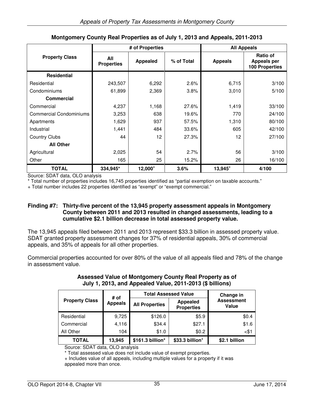|                                | # of Properties          |                 | <b>All Appeals</b> |                |                                                         |
|--------------------------------|--------------------------|-----------------|--------------------|----------------|---------------------------------------------------------|
| <b>Property Class</b>          | All<br><b>Properties</b> | <b>Appealed</b> | % of Total         | <b>Appeals</b> | Ratio of<br><b>Appeals per</b><br><b>100 Properties</b> |
| <b>Residential</b>             |                          |                 |                    |                |                                                         |
| Residential                    | 243,507                  | 6,292           | 2.6%               | 6,715          | 3/100                                                   |
| Condominiums                   | 61,899                   | 2,369           | 3.8%               | 3,010          | 5/100                                                   |
| <b>Commercial</b>              |                          |                 |                    |                |                                                         |
| Commercial                     | 4,237                    | 1,168           | 27.6%              | 1,419          | 33/100                                                  |
| <b>Commercial Condominiums</b> | 3,253                    | 638             | 19.6%              | 770            | 24/100                                                  |
| Apartments                     | 1,629                    | 937             | 57.5%              | 1,310          | 80/100                                                  |
| Industrial                     | 1,441                    | 484             | 33.6%              | 605            | 42/100                                                  |
| <b>Country Clubs</b>           | 44                       | 12              | 27.3%              | 12             | 27/100                                                  |
| <b>All Other</b>               |                          |                 |                    |                |                                                         |
| Agricultural                   | 2,025                    | 54              | 2.7%               | 56             | 3/100                                                   |
| Other                          | 165                      | 25              | 15.2%              | 26             | 16/100                                                  |
| <b>TOTAL</b>                   | 334,945*                 | 12,000+         | 3.6%               | 13,945+        | 4/100                                                   |

# **Montgomery County Real Properties as of July 1, 2013 and Appeals, 2011-2013**

Source: SDAT data, OLO analysis

\* Total number of properties includes 16,745 properties identified as "partial exemption on taxable accounts."

+ Total number includes 22 properties identified as "exempt" or "exempt commercial."

#### **Finding #7: Thirty-five percent of the 13,945 property assessment appeals in Montgomery County between 2011 and 2013 resulted in changed assessments, leading to a cumulative \$2.1 billion decrease in total assessed property value.**

The 13,945 appeals filed between 2011 and 2013 represent \$33.3 billion in assessed property value. SDAT granted property assessment changes for 37% of residential appeals, 30% of commercial appeals, and 35% of appeals for all other properties.

Commercial properties accounted for over 80% of the value of all appeals filed and 78% of the change in assessment value.

| # of                  |                | <b>Total Assessed Value</b> | Change in                            |                                   |  |
|-----------------------|----------------|-----------------------------|--------------------------------------|-----------------------------------|--|
| <b>Property Class</b> | <b>Appeals</b> | <b>All Properties</b>       | <b>Appealed</b><br><b>Properties</b> | <b>Assessment</b><br><b>Value</b> |  |
| Residential           | 9,725          | \$126.0                     | \$5.9                                | \$0.4                             |  |
| Commercial            | 4,116          | \$34.4                      | \$27.1                               | \$1.6                             |  |
| All Other             | 104            | \$1.0                       | \$0.2\$                              | $<$ \$1                           |  |
| TOTAL                 | 13,945         | \$161.3 billion*            | \$33.3 billion <sup>+</sup>          | \$2.1 billion                     |  |

#### **Assessed Value of Montgomery County Real Property as of July 1, 2013, and Appealed Value, 2011-2013 (\$ billions)**

Source: SDAT data, OLO analysis

\* Total assessed value does not include value of exempt properties.

+ Includes value of all appeals, including multiple values for a property if it was appealed more than once.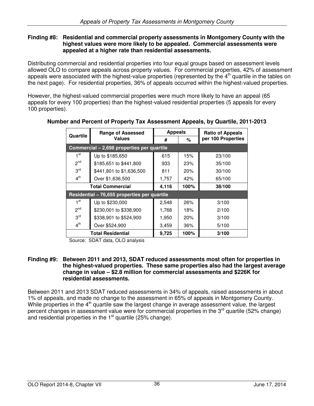#### **Finding #8: Residential and commercial property assessments in Montgomery County with the highest values were more likely to be appealed. Commercial assessments were appealed at a higher rate than residential assessments.**

Distributing commercial and residential properties into four equal groups based on assessment levels allowed OLO to compare appeals across property values. For commercial properties, 42% of assessment appeals were associated with the highest-value properties (represented by the 4<sup>th</sup> quartile in the tables on the next page). For residential properties, 36% of appeals occurred within the highest-valued properties.

However, the highest-valued commercial properties were much more likely to have an appeal (65 appeals for every 100 properties) than the highest-valued residential properties (5 appeals for every 100 properties).

| Quartile        | <b>Range of Assessed</b>                     | <b>Appeals</b> |      | <b>Ratio of Appeals</b> |  |
|-----------------|----------------------------------------------|----------------|------|-------------------------|--|
| <b>Values</b>   |                                              | #              | %    | per 100 Properties      |  |
|                 | Commercial - 2,698 properties per quartile   |                |      |                         |  |
| $1^{\rm st}$    | Up to \$185,650                              | 615            | 15%  | 23/100                  |  |
| 2 <sup>nd</sup> | \$185,651 to \$441,800                       | 933            | 23%  | 35/100                  |  |
| 3 <sup>rd</sup> | \$441,801 to \$1,636,500                     | 811            | 20%  | 30/100                  |  |
| 4 <sup>th</sup> | Over \$1,636,500                             |                | 42%  | 65/100                  |  |
|                 | <b>Total Commercial</b>                      | 4,116          | 100% | 38/100                  |  |
|                 | Residential - 76,655 properties per quartile |                |      |                         |  |
| 1 <sup>st</sup> | Up to \$230,000                              | 2,548          | 26%  | 3/100                   |  |
| 2 <sup>nd</sup> | \$230,001 to \$338,900                       | 1,768          | 18%  | 2/100                   |  |
| 3 <sup>rd</sup> | \$338,901 to \$524,900                       | 1,950          | 20%  | 3/100                   |  |
| 4 <sup>th</sup> | Over \$524,900                               | 3,459          | 36%  | 5/100                   |  |
|                 | <b>Total Residential</b>                     | 9,725          | 100% | 3/100                   |  |

# **Number and Percent of Property Tax Assessment Appeals, by Quartile, 2011-2013**

Source: SDAT data, OLO analysis

#### **Finding #9: Between 2011 and 2013, SDAT reduced assessments most often for properties in the highest-valued properties. These same properties also had the largest average change in value – \$2.8 million for commercial assessments and \$226K for residential assessments.**

Between 2011 and 2013 SDAT reduced assessments in 34% of appeals, raised assessments in about 1% of appeals, and made no change to the assessment in 65% of appeals in Montgomery County. While properties in the  $4<sup>th</sup>$  quartile saw the largest change in average assessment value, the largest percent changes in assessment value were for commercial properties in the 3<sup>rd</sup> quartile (52% change) and residential properties in the  $1<sup>st</sup>$  quartile (25% change).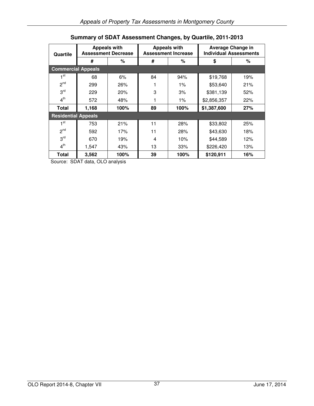| Quartile                   | <b>Appeals with</b><br><b>Assessment Decrease</b> |      | <b>Appeals with</b><br><b>Assessment Increase</b> |       | <b>Average Change in</b><br><b>Individual Assessments</b> |     |
|----------------------------|---------------------------------------------------|------|---------------------------------------------------|-------|-----------------------------------------------------------|-----|
|                            | #                                                 | %    | #                                                 | %     | \$                                                        | %   |
| <b>Commercial Appeals</b>  |                                                   |      |                                                   |       |                                                           |     |
| ⊣ st                       | 68                                                | 6%   | 84                                                | 94%   | \$19,768                                                  | 19% |
| 2 <sup>nd</sup>            | 299                                               | 26%  |                                                   | $1\%$ | \$53,640                                                  | 21% |
| 3 <sup>rd</sup>            | 229                                               | 20%  | 3                                                 | 3%    | \$381,139                                                 | 52% |
| 4 <sup>th</sup>            | 572                                               | 48%  |                                                   | $1\%$ | \$2,856,357                                               | 22% |
| <b>Total</b>               | 1,168                                             | 100% | 89                                                | 100%  | \$1,387,600                                               | 27% |
| <b>Residential Appeals</b> |                                                   |      |                                                   |       |                                                           |     |
| 1 <sup>st</sup>            | 753                                               | 21%  | 11                                                | 28%   | \$33,802                                                  | 25% |
| 2 <sup>nd</sup>            | 592                                               | 17%  | 11                                                | 28%   | \$43,630                                                  | 18% |
| 3 <sup>rd</sup>            | 670                                               | 19%  | 4                                                 | 10%   | \$44,589                                                  | 12% |
| 4 <sup>th</sup>            | 1,547                                             | 43%  | 13                                                | 33%   | \$226,420                                                 | 13% |
| Total                      | 3,562                                             | 100% | 39                                                | 100%  | \$120,911                                                 | 16% |

# **Summary of SDAT Assessment Changes, by Quartile, 2011-2013**

Source: SDAT data, OLO analysis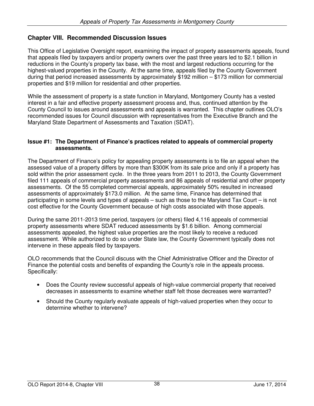# **Chapter VIII. Recommended Discussion Issues**

This Office of Legislative Oversight report, examining the impact of property assessments appeals, found that appeals filed by taxpayers and/or property owners over the past three years led to \$2.1 billion in reductions in the County's property tax base, with the most and largest reductions occurring for the highest-valued properties in the County. At the same time, appeals filed by the County Government during that period increased assessments by approximately \$192 million – \$173 million for commercial properties and \$19 million for residential and other properties.

While the assessment of property is a state function in Maryland, Montgomery County has a vested interest in a fair and effective property assessment process and, thus, continued attention by the County Council to issues around assessments and appeals is warranted. This chapter outlines OLO's recommended issues for Council discussion with representatives from the Executive Branch and the Maryland State Department of Assessments and Taxation (SDAT).

#### **Issue #1: The Department of Finance's practices related to appeals of commercial property assessments.**

The Department of Finance's policy for appealing property assessments is to file an appeal when the assessed value of a property differs by more than \$300K from its sale price and only if a property has sold within the prior assessment cycle. In the three years from 2011 to 2013, the County Government filed 111 appeals of commercial property assessments and 86 appeals of residential and other property assessments. Of the 55 completed commercial appeals, approximately 50% resulted in increased assessments of approximately \$173.0 million. At the same time, Finance has determined that participating in some levels and types of appeals – such as those to the Maryland Tax Court – is not cost effective for the County Government because of high costs associated with those appeals.

During the same 2011-2013 time period, taxpayers (or others) filed 4,116 appeals of commercial property assessments where SDAT reduced assessments by \$1.6 billion. Among commercial assessments appealed, the highest value properties are the most likely to receive a reduced assessment. While authorized to do so under State law, the County Government typically does not intervene in these appeals filed by taxpayers.

OLO recommends that the Council discuss with the Chief Administrative Officer and the Director of Finance the potential costs and benefits of expanding the County's role in the appeals process. Specifically:

- Does the County review successful appeals of high-value commercial property that received decreases in assessments to examine whether staff felt those decreases were warranted?
- Should the County regularly evaluate appeals of high-valued properties when they occur to determine whether to intervene?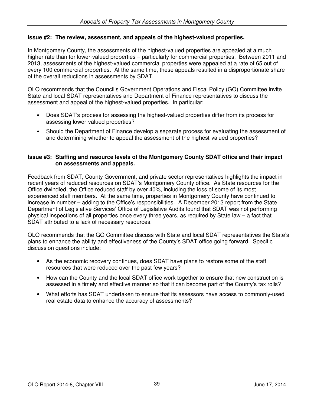## **Issue #2: The review, assessment, and appeals of the highest-valued properties.**

In Montgomery County, the assessments of the highest-valued properties are appealed at a much higher rate than for lower-valued properties – particularly for commercial properties. Between 2011 and 2013, assessments of the highest-valued commercial properties were appealed at a rate of 65 out of every 100 commercial properties. At the same time, these appeals resulted in a disproportionate share of the overall reductions in assessments by SDAT.

OLO recommends that the Council's Government Operations and Fiscal Policy (GO) Committee invite State and local SDAT representatives and Department of Finance representatives to discuss the assessment and appeal of the highest-valued properties. In particular:

- Does SDAT's process for assessing the highest-valued properties differ from its process for assessing lower-valued properties?
- Should the Department of Finance develop a separate process for evaluating the assessment of and determining whether to appeal the assessment of the highest-valued properties?

#### **Issue #3: Staffing and resource levels of the Montgomery County SDAT office and their impact on assessments and appeals.**

Feedback from SDAT, County Government, and private sector representatives highlights the impact in recent years of reduced resources on SDAT's Montgomery County office. As State resources for the Office dwindled, the Office reduced staff by over 40%, including the loss of some of its most experienced staff members. At the same time, properties in Montgomery County have continued to increase in number – adding to the Office's responsibilities. A December 2013 report from the State Department of Legislative Services' Office of Legislative Audits found that SDAT was not performing physical inspections of all properties once every three years, as required by State law – a fact that SDAT attributed to a lack of necessary resources.

OLO recommends that the GO Committee discuss with State and local SDAT representatives the State's plans to enhance the ability and effectiveness of the County's SDAT office going forward. Specific discussion questions include:

- As the economic recovery continues, does SDAT have plans to restore some of the staff resources that were reduced over the past few years?
- How can the County and the local SDAT office work together to ensure that new construction is assessed in a timely and effective manner so that it can become part of the County's tax rolls?
- What efforts has SDAT undertaken to ensure that its assessors have access to commonly-used real estate data to enhance the accuracy of assessments?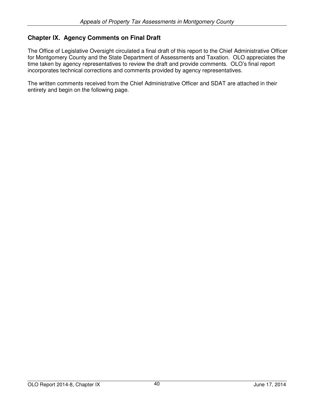# **Chapter IX. Agency Comments on Final Draft**

The Office of Legislative Oversight circulated a final draft of this report to the Chief Administrative Officer for Montgomery County and the State Department of Assessments and Taxation. OLO appreciates the time taken by agency representatives to review the draft and provide comments. OLO's final report incorporates technical corrections and comments provided by agency representatives.

The written comments received from the Chief Administrative Officer and SDAT are attached in their entirety and begin on the following page.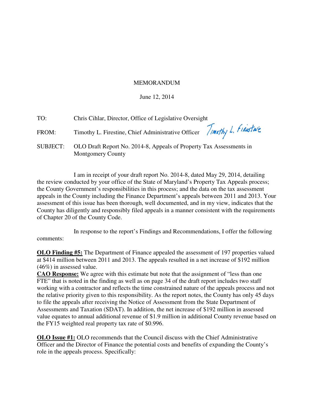## MEMORANDUM

## June 12, 2014

| TO:   | Chris Cihlar, Director, Office of Legislative Oversight                                                  |
|-------|----------------------------------------------------------------------------------------------------------|
| FROM: | Timothy L. Firestine, Chief Administrative Officer <i>Timothy L. Finistric</i>                           |
|       | SUBJECT: OLO Draft Report No. 2014-8, Appeals of Property Tax Assessments in<br><b>Montgomery County</b> |

I am in receipt of your draft report No. 2014-8, dated May 29, 2014, detailing the review conducted by your office of the State of Maryland's Property Tax Appeals process; the County Government's responsibilities in this process; and the data on the tax assessment appeals in the County including the Finance Department's appeals between 2011 and 2013. Your assessment of this issue has been thorough, well documented, and in my view, indicates that the County has diligently and responsibly filed appeals in a manner consistent with the requirements of Chapter 20 of the County Code.

 In response to the report's Findings and Recommendations, I offer the following comments:

**OLO Finding #5:** The Department of Finance appealed the assessment of 197 properties valued at \$414 million between 2011 and 2013. The appeals resulted in a net increase of \$192 million (46%) in assessed value.

**CAO Response:** We agree with this estimate but note that the assignment of "less than one FTE" that is noted in the finding as well as on page 34 of the draft report includes two staff working with a contractor and reflects the time constrained nature of the appeals process and not the relative priority given to this responsibility. As the report notes, the County has only 45 days to file the appeals after receiving the Notice of Assessment from the State Department of Assessments and Taxation (SDAT). In addition, the net increase of \$192 million in assessed value equates to annual additional revenue of \$1.9 million in additional County revenue based on the FY15 weighted real property tax rate of \$0.996.

**OLO Issue #1:** OLO recommends that the Council discuss with the Chief Administrative Officer and the Director of Finance the potential costs and benefits of expanding the County's role in the appeals process. Specifically: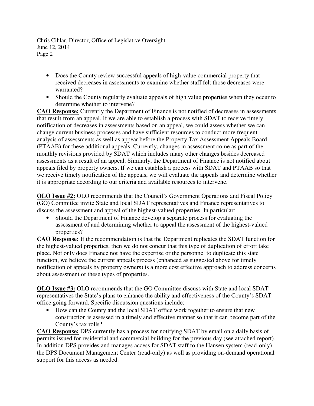Chris Cihlar, Director, Office of Legislative Oversight June 12, 2014 Page 2

- Does the County review successful appeals of high-value commercial property that received decreases in assessments to examine whether staff felt those decreases were warranted?
- Should the County regularly evaluate appeals of high value properties when they occur to determine whether to intervene?

**CAO Response:** Currently the Department of Finance is not notified of decreases in assessments that result from an appeal. If we are able to establish a process with SDAT to receive timely notification of decreases in assessments based on an appeal, we could assess whether we can change current business processes and have sufficient resources to conduct more frequent analysis of assessments as well as appear before the Property Tax Assessment Appeals Board (PTAAB) for these additional appeals. Currently, changes in assessment come as part of the monthly revisions provided by SDAT which includes many other changes besides decreased assessments as a result of an appeal. Similarly, the Department of Finance is not notified about appeals filed by property owners. If we can establish a process with SDAT and PTAAB so that we receive timely notification of the appeals, we will evaluate the appeals and determine whether it is appropriate according to our criteria and available resources to intervene.

**OLO Issue #2:** OLO recommends that the Council's Government Operations and Fiscal Policy (GO) Committee invite State and local SDAT representatives and Finance representatives to discuss the assessment and appeal of the highest-valued properties. In particular:

• Should the Department of Finance develop a separate process for evaluating the assessment of and determining whether to appeal the assessment of the highest-valued properties?

**CAO Response:** If the recommendation is that the Department replicates the SDAT function for the highest-valued properties, then we do not concur that this type of duplication of effort take place. Not only does Finance not have the expertise or the personnel to duplicate this state function, we believe the current appeals process (enhanced as suggested above for timely notification of appeals by property owners) is a more cost effective approach to address concerns about assessment of these types of properties.

**OLO Issue #3:** OLO recommends that the GO Committee discuss with State and local SDAT representatives the State's plans to enhance the ability and effectiveness of the County's SDAT office going forward. Specific discussion questions include:

• How can the County and the local SDAT office work together to ensure that new construction is assessed in a timely and effective manner so that it can become part of the County's tax rolls?

**CAO Response:** DPS currently has a process for notifying SDAT by email on a daily basis of permits issued for residential and commercial building for the previous day (see attached report). In addition DPS provides and manages access for SDAT staff to the Hansen system (read-only) the DPS Document Management Center (read-only) as well as providing on-demand operational support for this access as needed.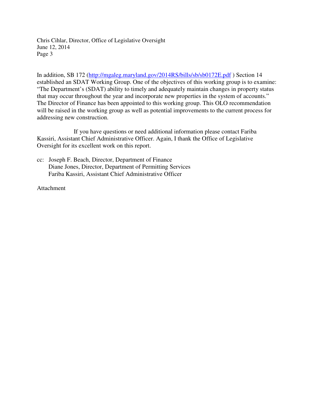Chris Cihlar, Director, Office of Legislative Oversight June 12, 2014 Page 3

In addition, SB 172 (http://mgaleg.maryland.gov/2014RS/bills/sb/sb0172E.pdf ) Section 14 established an SDAT Working Group. One of the objectives of this working group is to examine: "The Department's (SDAT) ability to timely and adequately maintain changes in property status that may occur throughout the year and incorporate new properties in the system of accounts." The Director of Finance has been appointed to this working group. This OLO recommendation will be raised in the working group as well as potential improvements to the current process for addressing new construction.

If you have questions or need additional information please contact Fariba Kassiri, Assistant Chief Administrative Officer. Again, I thank the Office of Legislative Oversight for its excellent work on this report.

cc: Joseph F. Beach, Director, Department of Finance Diane Jones, Director, Department of Permitting Services Fariba Kassiri, Assistant Chief Administrative Officer

Attachment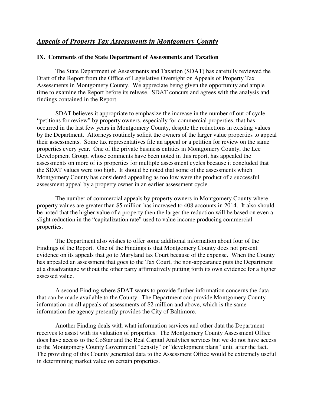#### **IX. Comments of the State Department of Assessments and Taxation**

 The State Department of Assessments and Taxation (SDAT) has carefully reviewed the Draft of the Report from the Office of Legislative Oversight on Appeals of Property Tax Assessments in Montgomery County. We appreciate being given the opportunity and ample time to examine the Report before its release. SDAT concurs and agrees with the analysis and findings contained in the Report.

 SDAT believes it appropriate to emphasize the increase in the number of out of cycle "petitions for review" by property owners, especially for commercial properties, that has occurred in the last few years in Montgomery County, despite the reductions in existing values by the Department. Attorneys routinely solicit the owners of the larger value properties to appeal their assessments. Some tax representatives file an appeal or a petition for review on the same properties every year. One of the private business entities in Montgomery County, the Lee Development Group, whose comments have been noted in this report, has appealed the assessments on more of its properties for multiple assessment cycles because it concluded that the SDAT values were too high. It should be noted that some of the assessments which Montgomery County has considered appealing as too low were the product of a successful assessment appeal by a property owner in an earlier assessment cycle.

 The number of commercial appeals by property owners in Montgomery County where property values are greater than \$5 million has increased to 408 accounts in 2014. It also should be noted that the higher value of a property then the larger the reduction will be based on even a slight reduction in the "capitalization rate" used to value income producing commercial properties.

 The Department also wishes to offer some additional information about four of the Findings of the Report. One of the Findings is that Montgomery County does not present evidence on its appeals that go to Maryland tax Court because of the expense. When the County has appealed an assessment that goes to the Tax Court, the non-appearance puts the Department at a disadvantage without the other party affirmatively putting forth its own evidence for a higher assessed value.

 A second Finding where SDAT wants to provide further information concerns the data that can be made available to the County. The Department can provide Montgomery County information on all appeals of assessments of \$2 million and above, which is the same information the agency presently provides the City of Baltimore.

 Another Finding deals with what information services and other data the Department receives to assist with its valuation of properties. The Montgomery County Assessment Office does have access to the CoStar and the Real Capital Analytics services but we do not have access to the Montgomery County Government "density" or "development plans" until after the fact. The providing of this County generated data to the Assessment Office would be extremely useful in determining market value on certain properties.